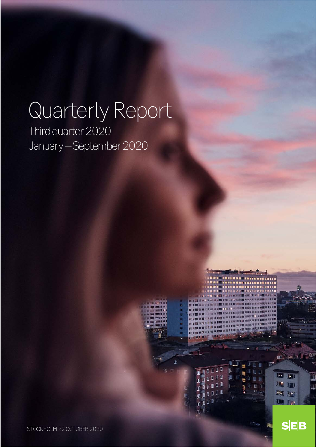# Quarterly Report

. . . . . . . . .

**ALL** 

**BEI 1911** 

**IA** IAI

**BOWER SEARCH** 

 $S|E|B$ 

i i i

 $\overline{\mathbb{R}^n}$ 

**DET** 

 $0 0 0$ 

....

**STATE INE** 

 $\overline{\mathbb{R}}$  0 П

 $\mathbb{I}$ 

 $\overline{1}$ 

Ò d

溫

ū

Π

Π

I П

匪

 $\overline{\mathbb{D}}$ 

Third quarter 2020 January – September 2020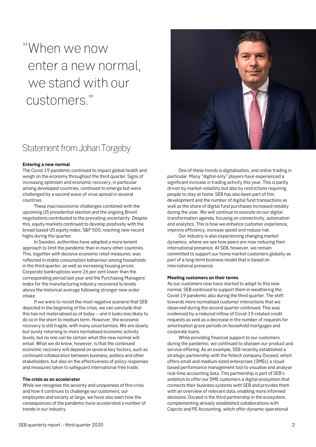# "When we now enter a new normal, we stand with our customers."

# Statement from Johan Torgeby

#### **Entering a new normal**

The Covid-19 pandemic continued to impact global health and weigh on the economy throughout the third quarter. Signs of increasing optimism and economic recovery, in particular among developed countries, continued to emerge but were challenged by a second wave of virus spread in several countries.

These macroeconomic challenges combined with the upcoming US presidential election and the ongoing Brexit negotiations contributed to the prevailing uncertainty. Despite this, equity markets continued to develop positively with the broad-based US equity index, S&P 500, reaching new record highs during the quarter.

In Sweden, authorities have adopted a more lenient approach to limit the pandemic than in many other countries. This, together with decisive economic relief measures, was reflected in stable consumption behaviour among households in the third quarter, as well as increasing housing prices. Corporate bankruptcies were 26 per cent lower than the corresponding period last year and the Purchasing Managers' Index for the manufacturing industry recovered to levels above the historical average following stronger new order intake.

If we were to revisit the most negative scenario that SEB depicted in the beginning of the crisis, we can conclude that this has not materialised as of today – and it looks less likely to do so in the short to medium term. However, the economic recovery is still fragile, with many uncertainties. We are slowly but surely returning to more normalised economic activity levels, but no one can be certain what this new normal will entail. What we do know, however, is that the continued economic recovery will depend on several key factors, such as continued collaboration between business, politics and other stakeholders, but also on the effectiveness of policy responses and measures taken to safeguard international free trade.

#### **The crisis as an accelerator**

While we recognise the severity and uniqueness of this crisis and how it continues to challenge our customers, our employees and society at large, we have also seen how the consequences of the pandemic have accelerated a number of trends in our industry.

One of these trends is digitalisation, and online trading in particular. Many "digital-only" players have experienced a significant increase in trading activity this year. This is partly driven by market volatility but also by restrictions requiring people to stay at home. SEB has also been part of this development and the number of digital fund transactions as well as the share of digital fund purchases increased notably during the year. We will continue to execute on our digital transformation agenda, focusing on connectivity, automation and analytics. This is how we enhance customer experience, improve efficiency, increase speed and reduce risk.

Our industry is also experiencing changing market dynamics, where we see how peers are now reducing their international presence. At SEB, however, we remain committed to support our home market customers globally as part of a long-term business model that is based on international presence.

#### **Meeting customers on their terms**

As our customers now have started to adapt to this new normal, SEB continued to support them in weathering the Covid-19 pandemic also during the third quarter. The shift towards more normalised customer interactions that we observed during the second quarter continued. This was evidenced by a reduced inflow of Covid-19-related credit requests as well as a decrease in the number of requests for amortisation grace periods on household mortgages and corporate loans.

While providing financial support to our customers during the pandemic, we continued to sharpen our product and service offering. As an example, SEB recently established a strategic partnership with the fintech company Oxceed, which offers small and medium-sized enterprises (SMEs) a cloudbased performance management tool to visualise and analyse real-time accounting data. This partnership is part of SEB's ambition to offer our SME customers a digital ecosystem that connects their business systems with SEB and provides them with an overview of relevant data, enabling more informed decisions. Oxceed is the third partnership in the ecosystem, complementing already established collaborations with Capcito and PE Accounting, which offer dynamic operational

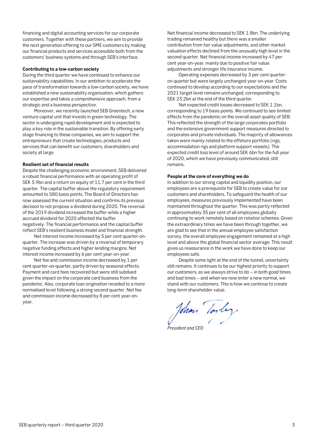financing and digital accounting services for our corporate customers. Together with these partners, we aim to provide the next generation offering to our SME customers by making our financial products and services accessible both from the customers' business systems and through SEB's interface.

#### **Contributing to a low-carbon society**

During the third quarter we have continued to enhance our sustainability capabilities. In our ambition to accelerate the pace of transformation towards a low-carbon society, we have established a new sustainability organisation, which gathers our expertise and takes a comprehensive approach, from a strategic and a business perspective.

Moreover, we recently launched SEB Greentech, a new venture capital unit that invests in green technology. The sector is undergoing rapid development and is expected to play a key role in the sustainable transition. By offering early stage financing to these companies, we aim to support the entrepreneurs that create technologies, products and services that can benefit our customers, shareholders and society at large.

#### **Resilient set of financial results**

Despite the challenging economic environment, SEB delivered a robust financial performance with an operating profit of SEK 5.9bn and a return on equity of 11.7 per cent in the third quarter. The capital buffer above the regulatory requirement amounted to 580 basis points. The Board of Directors has now assessed the current situation and confirms its previous decision to not propose a dividend during 2020. The reversal of the 2019 dividend increased the buffer while a higher accrued dividend for 2020 affected the buffer negatively. The financial performance and the capital buffer reflect SEB's resilient business model and financial strength.

Net interest income increased by 5 per cent quarter-onquarter. The increase was driven by a reversal of temporary negative funding effects and higher lending margins. Net interest income increased by 6 per cent year-on-year.

Net fee and commission income decreased by 1 per cent quarter-on-quarter, partly driven by seasonal effects. Payment and card fees recovered but were still subdued given the impact on the corporate card business from the pandemic. Also, corporate loan origination receded to a more normalised level following a strong second quarter. Net fee and commission income decreased by 8 per cent year-onyear.

Net financial income decreased to SEK 1.8bn. The underlying trading remained healthy but there was a smaller contribution from fair value adjustments, and other market valuation effects declined from the unusually high level in the second quarter. Net financial income increased by 47 per cent year-on-year, mainly due to positive fair value adjustments and stronger life insurance income.

Operating expenses decreased by 3 per cent quarteron-quarter but were largely unchanged year-on-year. Costs continued to develop according to our expectations and the 2021 target level remains unchanged, corresponding to SEK 23.2bn at the end of the third quarter.

Net expected credit losses decreased to SEK 1.1bn, corresponding to 19 basis points. We continued to see limited effects from the pandemic on the overall asset quality of SEB. This reflected the strength of the large corporates portfolio and the extensive government support measures directed to corporates and private individuals. The majority of allowances taken were mainly related to the offshore portfolio (rigs, accommodation rigs and platform support vessels). The expected credit loss level of around SEK 6bn for the full year of 2020, which we have previously communicated, still remains.

#### **People at the core of everything we do**

In addition to our strong capital and liquidity position, our employees are a prerequisite for SEB to create value for our customers and shareholders. To safeguard the health of our employees, measures previously implemented have been maintained throughout the quarter. This was partly reflected in approximately 35 per cent of all employees globally continuing to work remotely based on rotation schemes. Given the extraordinary times we have been through together, we are glad to see that in the annual employee satisfaction survey, the overall employee engagement remained at a high level and above the global financial sector average. This result gives us reassurance in the work we have done to keep our employees safe.

Despite some light at the end of the tunnel, uncertainty still remains. It continues to be our highest priority to support our customers, as we always strive to do – in both good times and bad times – and when we now enter a new normal, we stand with our customers. This is how we continue to create long-term shareholder value.

John Toyley

*President and CEO*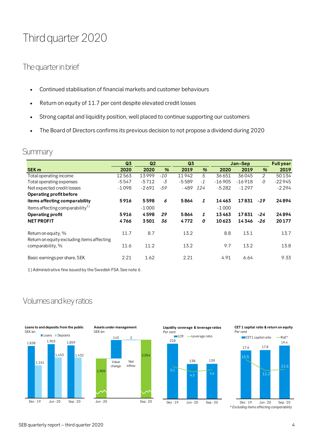# Third quarter 2020

# The quarter in brief

- Continued stabilisation of financial markets and customer behaviours
- Return on equity of 11.7 per cent despite elevated credit losses
- Strong capital and liquidity position, well placed to continue supporting our customers
- The Board of Directors confirms its previous decision to not propose a dividend during 2020

# **Summary**

|                                                                   | Q <sub>3</sub> | Q <sub>2</sub><br>Q <sub>3</sub> |       | Jan-Sep | <b>Full year</b> |          |          |       |          |
|-------------------------------------------------------------------|----------------|----------------------------------|-------|---------|------------------|----------|----------|-------|----------|
| <b>SEK m</b>                                                      | 2020           | 2020                             | %     | 2019    | %                | 2020     | 2019     | %     | 2019     |
| Total operating income                                            | 12563          | 13999                            | $-10$ | 11942   | 5                | 36651    | 36045    | 2     | 50134    |
| Total operating expenses                                          | $-5547$        | $-5712$                          | -3    | $-5589$ | $-1$             | $-16905$ | $-16918$ | 0     | $-22945$ |
| Net expected credit losses                                        | $-1098$        | $-2691$                          | $-59$ | $-489$  | 124              | $-5282$  | $-1297$  |       | $-2294$  |
| Operating profit before                                           |                |                                  |       |         |                  |          |          |       |          |
| items affecting comparability                                     | 5916           | 5598                             | 6     | 5864    | 1                | 14463    | 17831    | $-19$ | 24894    |
| Items affecting comparability $^{1)}$                             |                | $-1000$                          |       |         |                  | $-1000$  |          |       |          |
| <b>Operating profit</b>                                           | 5916           | 4598                             | 29    | 5864    | 1                | 13463    | 17831    | -24   | 24894    |
| <b>NET PROFIT</b>                                                 | 4766           | 3501                             | 36    | 4772    | 0                | 10623    | 14346    | -26   | 20177    |
| Return on equity, %<br>Return on equity excluding items affecting | 11.7           | 8.7                              |       | 13.2    |                  | 8.8      | 13.1     |       | 13.7     |
| comparability, %                                                  | 11.6           | 11.2                             |       | 13.2    |                  | 9.7      | 13.2     |       | 13.8     |
| Basic earnings per share, SEK                                     | 2.21           | 1.62                             |       | 2.21    |                  | 4.91     | 6.64     |       | 9.33     |

1) Administrative fine issued by the Swedish FSA. See note 6.

# Volumes and key ratios







**CET 1 capital ratio & return on equity** Per cent

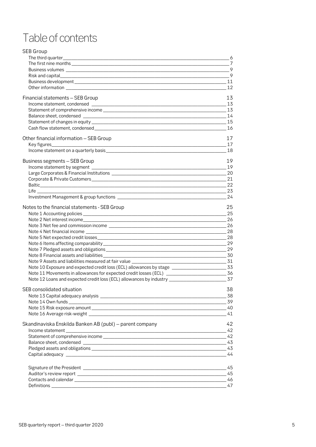# Table of contents

| <b>SEB Group</b>                                              |          |
|---------------------------------------------------------------|----------|
| The third quarter__________                                   | - 6      |
|                                                               | 7        |
|                                                               | $\sim$ 9 |
|                                                               |          |
|                                                               |          |
|                                                               | 12       |
| Financial statements - SEB Group                              | 13       |
|                                                               |          |
|                                                               |          |
|                                                               |          |
|                                                               |          |
|                                                               | 16       |
| Other financial information - SEB Group                       | 17       |
|                                                               | 17       |
|                                                               | 18       |
| Business segments - SEB Group                                 | 19       |
|                                                               | 19       |
|                                                               |          |
|                                                               |          |
|                                                               | 22       |
| $\sim$ 23                                                     |          |
|                                                               | -24      |
| Notes to the financial statements - SEB Group                 | 25       |
|                                                               | 25       |
|                                                               |          |
|                                                               |          |
|                                                               |          |
|                                                               |          |
|                                                               |          |
|                                                               |          |
|                                                               |          |
| Note 9 Assets and liabilities measured at fair value ________ |          |
|                                                               |          |
|                                                               |          |
|                                                               |          |
| SEB consolidated situation                                    | 38       |
|                                                               | $-38$    |
|                                                               |          |
|                                                               | 41       |
|                                                               |          |
| Skandinaviska Enskilda Banken AB (publ) - parent company      | 42       |
|                                                               |          |
|                                                               |          |
|                                                               |          |
|                                                               | 43<br>44 |
|                                                               |          |
|                                                               | 45       |
|                                                               | 45       |
|                                                               | 46       |
|                                                               | 47       |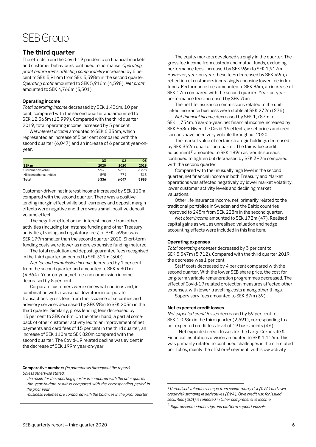# SEB Group

## <span id="page-5-0"></span>**The third quarter**

The effects from the Covid-19 pandemic on financial markets and customer behaviours continued to normalise. *Operating profit before items affecting comparability* increased by 6 per cent to SEK 5,916m from SEK 5,598m in the second quarter. *Operating profit* amounted to SEK 5,916m (4,598). *Net profit* amounted to SEK 4,766m (3,501).

#### **Operating income**

*Total operating income* decreased by SEK 1,436m, 10 per cent, compared with the second quarter and amounted to SEK 12,563m (13,999). Compared with the third quarter 2019, total operating income increased by 5 per cent.

*Net interest income* amounted to SEK 6,336m, which represented an increase of 5 per cent compared with the second quarter (6,047) and an increase of 6 per cent year-onyear.

|                           | Q <sub>3</sub> | Q2     | Q <sub>3</sub> |
|---------------------------|----------------|--------|----------------|
| <b>SEK m</b>              | 2020           | 2020   | 2019           |
| Customer-driven NII       | 6931           | 6821   | 6298           |
| NII from other activities | $-595$         | $-774$ | $-315$         |
| Total                     | 6336           | 6047   | 5983           |

Customer-driven net interest income increased by SEK 110m compared with the second quarter. There was a positive lending margin effect while both currency and deposit margin effects were negative and there was a small positive deposit volume effect.

The negative effect on net interest income from other activities (including for instance funding and other Treasury activities, trading and regulatory fees) of SEK -595m was SEK 179m smaller than the second quarter 2020. Short-term funding costs were lower as more expensive funding matured.

The total resolution and deposit guarantee fees recognised in the third quarter amounted to SEK 329m (300).

*Net fee and commission income* decreased by 1 per cent from the second quarter and amounted to SEK 4,301m (4,364). Year-on-year, net fee and commission income decreased by 8 per cent.

Corporate customers were somewhat cautious and, in combination with a seasonal downturn in corporate transactions, gross fees from the issuance of securities and advisory services decreased by SEK 98m to SEK 203m in the third quarter. Similarly, gross lending fees decreased by 15 per cent to SEK 668m. On the other hand, a partial comeback of other customer activity led to an improvement of net payments and card fees of 15 per cent in the third quarter, an increase of SEK 110m to SEK 820m compared with the second quarter. The Covid-19 related decline was evident in the decrease of SEK 199m year-on-year.

**Comparative numbers** *(in parenthesis throughout the report) Unless otherwise stated:*

<span id="page-5-1"></span> *-the result for the reporting quarter is compared with the prior quarter -the year-to-date result is compared with the corresponding period in the prior year*

<span id="page-5-2"></span> *-business volumes are compared with the balances in the prior quarter*

The equity markets developed strongly in the quarter. The gross fee income from custody and mutual funds, excluding performance fees, increased by SEK 96m to SEK 1,917m. However, year-on-year these fees decreased by SEK 49m, a reflection of customers increasingly choosing lower-fee index funds. Performance fees amounted to SEK 86m, an increase of SEK 17m compared with the second quarter. Year-on-year performance fees increased by SEK 75m.

The net life insurance commissions related to the unitlinked insurance business were stable at SEK 272m (276).

*Net financial income* decreased by SEK 1,787m to SEK 1,754m. Year-on-year, net financial income increased by SEK 558m. Given the Covid-19 effects, asset prices and credit spreads have been very volatile throughout 2020.

The market value of certain strategic holdings decreased by SEK 352m quarter-on-quarter. The fair value credit adjustment $1$ ) amounted to SEK 189m as credits spreads continued to tighten but decreased by SEK 392m compared with the second quarter.

Compared with the unusually high level in the second quarter, net financial income in both Treasury and Market operations was affected negatively by lower market volatility, lower customer activity levels and declining market valuations.

Other life insurance income, net, primarily related to the traditional portfolios in Sweden and the Baltic countries improved to 245m from SEK 228m in the second quarter.

*Net other income* amounted to SEK 172m (47). Realised capital gains as well as unrealised valuation and hedge accounting effects were included in this line item.

#### **Operating expenses**

*Total operating expenses* decreased by 3 per cent to SEK 5,547m (5,712). Compared with the third quarter 2019, the decrease was 1 per cent.

Staff costs decreased by 4 per cent compared with the second quarter. With the lower SEB share price, the cost for long-term variable remuneration programmes decreased. The effect of Covid-19 related protection measures affected other expenses, with lower travelling costs among other things.

Supervisory fees amounted to SEK 37m (39).

#### **Net expected credit losses**

*Net expected credit losses* decreased by 59 per cent to SEK 1,098m in the third quarter (2,691), corresponding to a net expected credit loss level of 19 basis points (46).

Net expected credit losses for the Large Corporate & Financial Institutions division amounted to SEK 1,116m. This was primarily related to continued challenges in the oil-related portfolios, mainly the offshore<sup>[2](#page-5-2)</sup> segment, with slow activity

<sup>2</sup> *Rigs, accommodation rigs and platform support vessels.*

 <sup>1</sup> *Unrealised valuation change from counterparty risk (CVA) and own credit risk standing in derivatives (DVA). Own credit risk for issued securities (OCA) is reflected in Other comprehensive income.*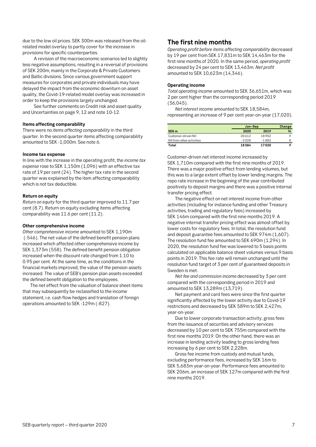due to the low oil prices. SEK 300m was released from the oilrelated model overlay to partly cover for the increase in provisions for specific counterparties.

A revision of the macroeconomic scenarios led to slightly less negative assumptions, resulting in a reversal of provisions of SEK 200m, mainly in the Corporate & Private Customers and Baltic divisions. Since various government support measures for corporates and private individuals may have delayed the impact from the economic downturn on asset quality, the Covid-19-related model overlay was increased in order to keep the provisions largely unchanged.

See further comments on Credit risk and asset quality and Uncertainties on page 9, 12 and note 10-12.

#### **Items affecting comparability**

There were no *items affecting comparability* in the third quarter. In the second quarter items affecting comparability amounted to SEK -1,000m. See note 6.

#### **Income tax expense**

In line with the increase in the operating profit, the *income tax expense* rose to SEK 1,150m (1,096) with an effective tax rate of 19 per cent (24). The higher tax rate in the second quarter was explained by the item affecting comparability which is not tax deductible.

#### **Return on equity**

*Return on equity* for the third quarter improved to 11.7 per cent (8.7). Return on equity excluding items affecting comparability was 11.6 per cent (11.2).

#### **Other comprehensive income**

*Other comprehensive income* amounted to SEK 1,190m (-546). The net value of the defined benefit pension plans increased which affected other comprehensive income by SEK 1,373m (558). The defined benefit pension obligation increased when the discount rate changed from 1.10 to 0.95 per cent. At the same time, as the conditions in the financial markets improved, the value of the pension assets increased. The value of SEB's pension plan assets exceeded the defined benefit obligation to the employees.

The net effect from the valuation of balance sheet items that may subsequently be reclassified to the income statement, i.e. cash flow hedges and translation of foreign operations amounted to SEK -129m (-827).

### <span id="page-6-0"></span>**The first nine months**

*Operating profit before items affecting comparability* decreased by 19 per cent from SEK 17,831m to SEK 14,463m for the first nine months of 2020. In the same period, *operating profit*  decreased by 24 per cent to SEK 13,463m. *Net profit* amounted to SEK 10,623m (14,346).

#### **Operating income**

*Total operating income* amounted to SEK 36,651m, which was 2 per cent higher than the corresponding period 2019 (36,045).

*Net interest income* amounted to SEK 18,584m, representing an increase of 9 per cent year-on-year (17,020).

|                           | Jan-Sep | Change  |   |
|---------------------------|---------|---------|---|
| SEK <sub>m</sub>          | 2020    | 2019    | % |
| Customer-driven NII       | 20612   | 18902   |   |
| NII from other activities | $-2028$ | $-1882$ |   |
| Total                     | 18584   | 17020   |   |

Customer-driven net interest income increased by SEK 1,710m compared with the first nine months of 2019. There was a major positive effect from lending volumes, but this was to a large extent offset by lower lending margins. The repo rate increase in the beginning of the year contributed positively to deposit margins and there was a positive internal transfer pricing effect.

The negative effect on net interest income from other activities (including for instance funding and other Treasury activities, trading and regulatory fees) increased by SEK 146m compared with the first nine months 2019. A negative internal transfer pricing effect was almost offset by lower costs for regulatory fees. In total, the resolution fund and deposit guarantee fees amounted to SEK 974m (1,607). The resolution fund fee amounted to SEK 690m (1,294). In 2020, the resolution fund fee was lowered to 5 basis points calculated on applicable balance sheet volumes versus 9 basis points in 2019. This fee rate will remain unchanged until the resolution fund target of 3 per cent of guaranteed deposits in Sweden is met.

*Net fee and commission income* decreased by 3 per cent compared with the corresponding period in 2019 and amounted to SEK 13,289m (13,719).

Net payment and card fees were since the first quarter significantly affected by the lower activity due to Covid-19 restrictions and decreased by SEK 589m to SEK 2,427m, year-on-year.

Due to lower corporate transaction activity, gross fees from the issuance of securities and advisory services decreased by 10 per cent to SEK 755m compared with the first nine months 2019. On the other hand, there was an increase in lending activity leading to gross lending fees increasing by 6 per cent to SEK 2,228m.

Gross fee income from custody and mutual funds, excluding performance fees, increased by SEK 16m to SEK 5,683m year-on-year. Performance fees amounted to SEK 206m, an increase of SEK 127m compared with the first nine months 2019.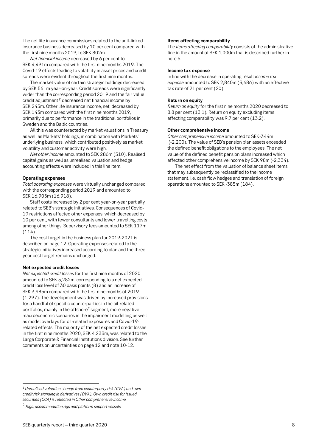Covid-19 effects leading to volatility in asset prices and credit spreads were evident throughout the first nine months.

The net life insurance commissions related to the unit-linked insurance business decreased by 10 per cent compared with

The market value of certain strategic holdings decreased by SEK 561m year-on-year. Credit spreads were significantly wider than the corresponding period 2019 and the fair value  $c$ redit adjustment $1$ ) decreased net financial income by SEK 245m. Other life insurance income, net, decreased by SEK 143m compared with the first nine months 2019, primarily due to performance in the traditional portfolios in Sweden and the Baltic countries.

All this was counteracted by market valuations in Treasury as well as Markets' holdings, in combination with Markets' underlying business, which contributed positively as market volatility and customer activity were high.

*Net other income* amounted to SEK 286m (510). Realised capital gains as well as unrealised valuation and hedge accounting effects were included in this line item.

#### **Operating expenses**

*Total operating expenses* were virtually unchanged compared with the corresponding period 2019 and amounted to SEK 16,905m (16,918).

Staff costs increased by 2 per cent year-on-year partially related to SEB's strategic initiatives. Consequences of Covid-19 restrictions affected other expenses, which decreased by 10 per cent, with fewer consultants and lower travelling costs among other things. Supervisory fees amounted to SEK 117m (114).

The cost target in the business plan for 2019-2021 is described on page 12. Operating expenses related to the strategic initiatives increased according to plan and the threeyear cost target remains unchanged.

#### **Net expected credit losses**

*Net expected credit losses* for the first nine months of 2020 amounted to SEK 5,282m, corresponding to a net expected credit loss level of 30 basis points (8) and an increase of SEK 3,985m compared with the first nine months of 2019 (1,297). The development was driven by increased provisions for a handful of specific counterparties in the oil-related portfolios, mainly in the offshore<sup>[2](#page-7-1)</sup> segment, more negative macroeconomic scenarios in the impairment modelling as well as model overlays for oil-related exposures and Covid-19 related effects. The majority of the net expected credit losses in the first nine months 2020, SEK 4,233m, was related to the Large Corporate & Financial Institutions division. See further comments on uncertainties on page 12 and note 10-12.

**Other comprehensive income** *Other comprehensive income* amounted to SEK-344m (-2,200). The value of SEB's pension plan assets exceeded the defined benefit obligations to the employees. The net value of the defined benefit pension plans increased which affected other comprehensive income by SEK 98m (-2,334).

*Return on equity* for the first nine months 2020 decreased to 8.8 per cent (13.1). Return on equity excluding items affecting comparability was 9.7 per cent (13.2).

The *items affecting comparability* consists of the administrative fine in the amount of SEK 1,000m that is described further in

In line with the decrease in operating result *income tax expense* amounted to SEK 2,840m (3,486) with an effective

**Items affecting comparability**

**Income tax expense**

**Return on equity**

tax rate of 21 per cent (20).

note 6.

The net effect from the valuation of balance sheet items that may subsequently be reclassified to the income statement, i.e. cash flow hedges and translation of foreign operations amounted to SEK -385m (184).

<span id="page-7-0"></span> <sup>1</sup> *Unrealised valuation change from counterparty risk (CVA) and own credit risk standing in derivatives (DVA). Own credit risk for issued securities (OCA) is reflected in Other comprehensive income.* 

<span id="page-7-1"></span><sup>2</sup> *Rigs, accommodation rigs and platform support vessels.*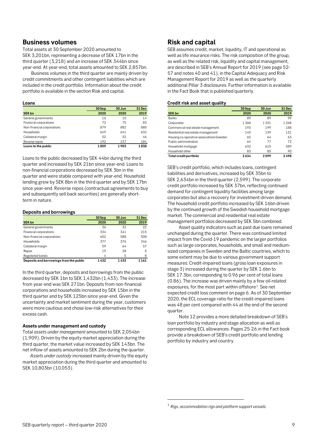### <span id="page-8-0"></span>**Business volumes**

Total assets at 30 September 2020 amounted to SEK 3,201bn, representing a decrease of SEK 17bn in the third quarter (3,218) and an increase of SEK 344bn since year-end. At year-end, total assets amounted to SEK 2,857bn.

Business volumes in the third quarter are mainly driven by credit commitments and other contingent liabilities which are included in the credit portfolio. Information about the credit portfolio is available in the section Risk and capital.

#### **Loans**

|                            | 30 Jun<br>30 Sep |      | 31 Dec |
|----------------------------|------------------|------|--------|
| <b>SEK bn</b>              | 2020             | 2020 | 2019   |
| General governments        | 16               | 15   | 14     |
| Financial corporations     | 72               | 75   | 83     |
| Non-financial corporations | 879              | 882  | 880    |
| Households                 | 649              | 641  | 632    |
| Collateral margin          | 52               | 52   | 46     |
| Reverse repos              | 192              | 237  | 184    |
| Loans to the public        | 1859             | 1903 | 1838   |

Loans to the public decreased by SEK 44bn during the third quarter and increased by SEK 21bn since year-end. Loans to non-financial corporations decreased by SEK 3bn in the quarter and were stable compared with year-end. Household lending grew by SEK 8bn in the third quarter and by SEK 17bn since year-end. Reverse repos (contractual agreements to buy and subsequently sell back securities) are generally shortterm in nature.

#### **Deposits and borrowings**

|                                         | 30 Sep | 30 Jun | 31 Dec |
|-----------------------------------------|--------|--------|--------|
| <b>SEK bn</b>                           | 2020   | 2020   | 2019   |
| General governments                     | 36     | 32     | 22     |
| Financial corporations                  | 334    | 341    | 215    |
| Non-financial corporations              | 602    | 588    | 508    |
| Households                              | 377    | 376    | 346    |
| Collateral margin                       | 59     | 64     | 57     |
| Repos                                   | 19     | 28     | 5      |
| Registered bonds                        | 4      | 5      | 8      |
| Deposits and borrowings from the public | 1432   | 1433   | 1161   |

In the third quarter, deposits and borrowings from the public decreased by SEK 1bn to SEK 1,432bn (1,433). The increase from year-end was SEK 271bn. Deposits from non-financial corporations and households increased by SEK 15bn in the third quarter and by SEK 125bn since year-end. Given the uncertainty and market sentiment during the year, customers were more cautious and chose low-risk alternatives for their excess cash.

#### **Assets under management and custody**

Total *assets under management* amounted to SEK 2,054bn (1,909). Driven by the equity market appreciation during the third quarter, the market value increased by SEK 143bn. The net inflow of assets amounted to SEK 2bn during the quarter.

<span id="page-8-2"></span>*Assets under custody* increased mainly driven by the equity market appreciation during the third quarter and amounted to SEK 10,803bn (10,053).

## <span id="page-8-1"></span>**Risk and capital**

SEB assumes credit, market, liquidity, IT and operational as well as life insurance risks. The risk composition of the group, as well as the related risk, liquidity and capital management, are described in SEB's Annual Report for 2019 (see page 52- 57 and notes 40 and 41), in the Capital Adequacy and Risk Management Report for 2019 as well as the quarterly additional Pillar 3 disclosures. Further information is available in the Fact Book that is published quarterly.

#### **Credit risk and asset quality**

|                                          | 30 Sep | 30 Jun | 31 Dec |
|------------------------------------------|--------|--------|--------|
| <b>SEK bn</b>                            | 2020   | 2020   | 2019   |
| Banks                                    | 89     | 89     | 99     |
| Corporates                               | 1368   | 1331   | 1268   |
| Commercial real estate management        | 193    | 199    | 188    |
| Residential real estate management       | 140    | 139    | 131    |
| Housing co-operative associations Sweden | 65     | 64     | 63     |
| Public administration                    | 64     | 77     | 72     |
| Household mortgage                       | 632    | 615    | 589    |
| Household other                          | 83     | 85     | 90     |
| Total credit portfolio                   | 2634   | 2599   | 2498   |

SEB's credit portfolio, which includes loans, contingent liabilities and derivatives, increased by SEK 35bn to SEK 2,634bn in the third quarter (2,599). The corporate credit portfolio increased by SEK 37bn, reflecting continued demand for contingent liquidity facilities among large corporates but also a recovery for investment-driven demand. The household credit portfolio increased by SEK 16bn driven by the continued growth of the Swedish household mortgage market. The commercial and residential real estate management portfolios decreased by SEK 5bn combined.

Asset quality indicators such as past due loans remained unchanged during the quarter. There was continued limited impact from the Covid-19 pandemic on the larger portfolios such as large corporates, households, and small and mediumsized companies in Sweden and the Baltic countries, which to some extent may be due to various government support measures. Credit-impaired loans (gross loan exposures in stage 3) increased during the quarter by SEK 1.6bn to SEK 17.3bn, corresponding to 0.96 per cent of total loans (0.86). The increase was driven mainly by a few oil-related exposures, for the most part within offshore<sup>[1](#page-8-2)</sup>. See net expected credit loss comment on page 6. As of 30 September 2020, the ECL coverage ratio for the credit-impaired loans was 48 per cent compared with 44 at the end of the second quarter.

Note 12 provides a more detailed breakdown of SEB's loan portfolio by industry and stage allocation as well as corresponding ECL allowances. Pages 25-26 in the Fact book provide a breakdown of SEB's credit portfolio and lending portfolio by industry and country.

-

<sup>1</sup> *Rigs, accommodation rigs and platform support vessels.*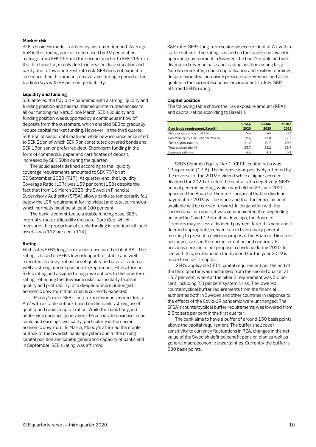#### **Market risk**

SEB's business model is driven by customer demand. Average VaR in the trading portfolio decreased by 19 per cent on average from SEK 259m in the second quarter to SEK 209m in the third quarter, mainly due to increased diversification and partly due to lower interest rate risk. SEB does not expect to lose more than this amount, on average, during a period of ten trading days with 99 per cent probability.

#### **Liquidity and funding**

SEB entered the Covid-19 pandemic with a strong liquidity and funding position and has maintained uninterrupted access to all our funding markets. Since March, SEB's liquidity and funding position was supported by a continuous inflow of deposits from the customers, which enabled SEB to gradually reduce capital market funding. However, in the third quarter, SEK 8bn of senior debt matured while new issuance amounted to SEK 26bn of which SEK 9bn constituted covered bonds and SEK 17bn senior preferred debt. Short-term funding in the form of commercial paper and certificates of deposit, increased by SEK 30bn during the quarter.

The liquid assets defined according to the liquidity coverage requirements amounted to SEK 757bn at 30 September 2020 (717). At quarter-end, the Liquidity Coverage Ratio (LCR) was 139 per cent (138) despite the fact that from 16 March 2020, the Swedish Financial Supervisory Authority (SFSA) allows banks to temporarily fall below the LCR requirement for individual and total currencies which normally must be at least 100 per cent.

The bank is committed to a stable funding base. SEB's internal structural liquidity measure, Core Gap, which measures the proportion of stable funding in relation to illiquid assets, was 112 per cent (114).

#### **Rating**

Fitch rates SEB's long-term senior unsecured debt at AA-. The rating is based on SEB's low risk appetite, stable and wellexecuted strategy, robust asset quality and capitalisation as well as strong market position. In September, Fitch affirmed SEB's rating and assigned a negative outlook to the long-term rating, reflecting the downside risks, particularly to asset quality and profitability, of a deeper or more prolonged economic downturn than what is currently expected.

Moody's rates SEB's long-term senior unsecured debt at Aa2 with a stable outlook based on the bank's strong asset quality and robust capital ratios. While the bank has good underlying earnings generation, the corporate business focus could add earnings cyclicality, particularly in the current economic downturn. In March, Moody's affirmed the stable outlook of the Swedish banking system due to the strong capital position and capital generation capacity of banks and in September, SEB's rating was affirmed.

S&P rates SEB's long-term senior unsecured debt at A+ with a stable outlook. The rating is based on the stable and low-risk operating environment in Sweden, the bank's stable and welldiversified revenue base and leading position among large Nordic corporates, robust capitalisation and resilient earnings, despite expected increasing pressure on revenues and asset quality in the current economic environment. In July, S&P affirmed SEB's rating.

#### **Capital position**

The following table shows the risk exposure amount (REA) and capital ratios according to Basel III:

|                                       | 30 Sep | 30 Jun | 31 Dec |
|---------------------------------------|--------|--------|--------|
| Own funds requirement, Basel III      | 2020   | 2020   | 2019   |
| Risk exposure amount, SEK bn          | 746    | 745    | 746    |
| Common Equity Tier 1 capital ratio, % | 19.4   | 17.8   | 17.6   |
| Tier 1 capital ratio, %               | 21.2   | 197    | 20.8   |
| Total capital ratio, %                | 23.7   | 22.2   | 23.3   |
| Leverage ratio, %                     | 4.6    | 4.3    | 5.1    |

SEB's Common Equity Tier 1 (CET1) capital ratio was 19.4 per cent (17.8). The increase was positively affected by the reversal of the 2019 dividend while a higher accrued dividend for 2020 affected the capital ratio negatively. SEB's annual general meeting, which was held on 29 June 2020, approved the Board of Directors' proposal that no dividend payment for 2019 will be made and that the entire amount available will be carried forward. In conjunction with the second quarter report, it was communicated that depending on how the Covid-19 situation develops, the Board of Directors may assess a dividend payment later this year and if deemed appropriate, convene an extraordinary general meeting to present a dividend proposal.The Board of Directors has now assessed the current situation and confirms its previous decision to not propose a dividend during 2020. In line with this, no deduction for dividend for the year 2019 is made from CET1 capital.

SEB's applicable CET1 capital requirement per the end of the third quarter was unchanged from the second quarter at 13.7 per cent, whereof the pillar 2 requirement was 3.6 per cent, including 2.0 per cent systemic risk. The lowered countercyclical buffer requirements from the financial authorities both in Sweden and other countries in response to the effects of the Covid-19 pandemic were unchanged. The SFSA's countercyclical buffer requirements was lowered from 2.5 to zero per cent in the first quarter.

The bank aims to have a buffer of around 150 basis points above the capital requirement. The buffer shall cover sensitivity to currency fluctuations in REA, changes in the net value of the Swedish defined benefit pension plan as well as general macroeconomic uncertainties. Currently the buffer is 580 basis points.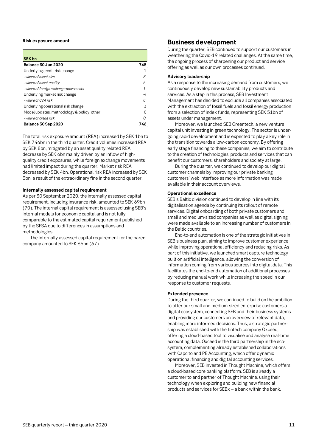#### **Risk exposure amount**

| <b>SEK bn</b>                              |     |
|--------------------------------------------|-----|
| Balance 30 Jun 2020                        | 745 |
| Underlying credit risk change              |     |
| - where of asset size                      | 8   |
| - where of asset quality                   | -6  |
| - where of foreign exchange movements      | - 1 |
| Underlying market risk change              |     |
| - where of CVA risk                        |     |
| Underlying operational risk change         | 3   |
| Model updates, methodology & policy, other |     |
| - where of credit risk                     | Ω   |
| Balance 30 Sep 2020                        | 746 |

The total risk exposure amount (REA) increased by SEK 1bn to SEK 746bn in the third quarter. Credit volumes increased REA by SEK 8bn, mitigated by an asset quality related REA decrease by SEK 6bn mainly driven by an inflow of highquality credit exposures, while foreign exchange movements had limited impact during the quarter. Market risk REA decreased by SEK 4bn. Operational risk REA increased by SEK 3bn, a result of the extraordinary fine in the second quarter.

#### **Internally assessed capital requirement**

As per 30 September 2020, the internally assessed capital requirement, including insurance risk, amounted to SEK 69bn (70). The internal capital requirement is assessed using SEB's internal models for economic capital and is not fully comparable to the estimated capital requirement published by the SFSA due to differences in assumptions and methodologies.

The internally assessed capital requirement for the parent company amounted to SEK 66bn (67).

#### <span id="page-10-0"></span>**Business development**

During the quarter, SEB continued to support our customers in weathering the Covid-19 related challenges. At the same time, the ongoing process of sharpening our product and service offering as well as our own processes continued.

#### **Advisory leadership**

As a response to the increasing demand from customers, we continuously develop new sustainability products and services. As a step in this process, SEB Investment Management has decided to exclude all companies associated with the extraction of fossil fuels and fossil energy production from a selection of index funds, representing SEK 51bn of assets under management.

Moreover, we launched SEB Greentech, a new venture capital unit investing in green technology. The sector is undergoing rapid development and is expected to play a key role in the transition towards a low-carbon economy. By offering early stage financing to these companies, we aim to contribute to the creation of technologies, products and services that can benefit our customers, shareholders and society at large.

During the quarter, we continued to develop our digital customer channels by improving our private banking customers' web interface as more information was made available in their account overviews.

#### **Operational excellence**

SEB's Baltic division continued to develop in line with its digitalisation agenda by continuing its rollout of remote services. Digital onboarding of both private customers and small and medium-sized companies as well as digital signing were made available to an increasing number of customers in the Baltic countries.

End-to-end automation is one of the strategic initiatives in SEB's business plan, aiming to improve customer experience while improving operational efficiency and reducing risks. As part of this initiative, we launched smart capture technology built on artificial intelligence, allowing the conversion of information coming from various sources into digital data. This facilitates the end-to-end automation of additional processes by reducing manual work while increasing the speed in our response to customer requests.

#### **Extended presence**

During the third quarter, we continued to build on the ambition to offer our small and medium-sized enterprise customers a digital ecosystem, connecting SEB and their business systems and providing our customers an overview of relevant data, enabling more informed decisions. Thus, a strategic partnership was established with the fintech company Oxceed, offering a cloud-based tool to visualise and analyse real-time accounting data. Oxceed is the third partnership in the ecosystem, complementing already established collaborations with Capcito and PE Accounting, which offer dynamic operational financing and digital accounting services.

Moreover, SEB invested in Thought Machine, which offers a cloud-based core banking platform. SEB is already a customer to and partner of Thought Machine, using their technology when exploring and building new financial products and services for SEBx – a bank within the bank.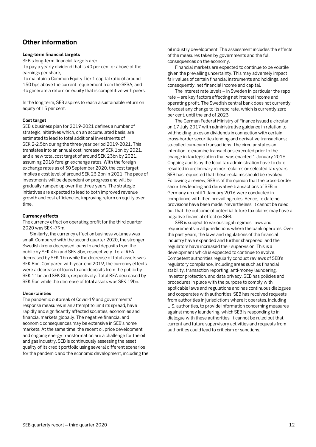# <span id="page-11-0"></span>**Other information**

#### **Long-term financial targets**

SEB's long-term financial targets are:

-to pay a yearly dividend that is 40 per cent or above of the earnings per share,

-to maintain a Common Equity Tier 1 capital ratio of around 150 bps above the current requirement from the SFSA, and -to generate a return on equity that is competitive with peers.

In the long term, SEB aspires to reach a sustainable return on equity of 15 per cent.

#### **Cost target**

SEB's business plan for 2019-2021 defines a number of strategic initiatives which, on an accumulated basis, are estimated to lead to total additional investments of SEK 2-2.5bn during the three-year period 2019-2021. This translates into an annual cost increase of SEK 1bn by 2021, and a new total cost target of around SEK 23bn by 2021, assuming 2018 foreign exchange rates. With the foreign exchange rates as of 30 September 2020, the cost target implies a cost level of around SEK 23.2bn in 2021. The pace of investments will be dependent on progress and will be gradually ramped up over the three years. The strategic initiatives are expected to lead to both improved revenue growth and cost efficiencies, improving return on equity over time.

#### **Currency effects**

The currency effect on operating profit for the third quarter 2020 was SEK -79m.

Similarly, the currency effect on business volumes was small. Compared with the second quarter 2020, the stronger Swedish krona decreased loans to and deposits from the public by SEK 4bn and SEK 3bn, respectively. Total REA decreased by SEK 1bn while the decrease of total assets was SEK 8bn. Compared with year-end 2019, the currency effects were a decrease of loans to and deposits from the public by SEK 11bn and SEK 8bn, respectively. Total REA decreased by SEK 5bn while the decrease of total assets was SEK 19bn.

#### **Uncertainties**

The pandemic outbreak of Covid-19 and governments' response measures in an attempt to limit its spread, have rapidly and significantly affected societies, economies and financial markets globally. The negative financial and economic consequences may be extensive in SEB's home markets. At the same time, the recent oil price development and ongoing energy transformation are a challenge for the oil and gas industry. SEB is continuously assessing the asset quality of its credit portfolio using several different scenarios for the pandemic and the economic development, including the oil industry development. The assessment includes the effects of the measures taken by governments and the full consequences on the economy.

Financial markets are expected to continue to be volatile given the prevailing uncertainty. This may adversely impact fair values of certain financial instruments and holdings, and consequently, net financial income and capital.

The interest rate levels – in Sweden in particular the repo rate – are key factors affecting net interest income and operating profit. The Swedish central bank does not currently forecast any change to its repo rate, which is currently zero per cent, until the end of 2023.

The German Federal Ministry of Finance issued a circular on 17 July 2017 with administrative guidance in relation to withholding taxes on dividends in connection with certain cross-border securities lending and derivative transactions; so-called cum-cum transactions. The circular states an intention to examine transactions executed prior to the change in tax legislation that was enacted 1 January 2016. Ongoing audits by the local tax administration have to date resulted in preliminary minor reclaims on selected tax years. SEB has requested that these reclaims should be revoked. Following a review, SEB is of the opinion that the cross-border securities lending and derivative transactions of SEB in Germany up until 1 January 2016 were conducted in compliance with then prevailing rules. Hence, to date no provisions have been made. Nevertheless, it cannot be ruled out that the outcome of potential future tax claims may have a negative financial effect on SEB.

SEB is subject to various legal regimes, laws and requirements in all jurisdictions where the bank operates. Over the past years, the laws and regulations of the financial industry have expanded and further sharpened, and the regulators have increased their supervision. This is a development which is expected to continue to evolve. Competent authorities regularly conduct reviews of SEB's regulatory compliance, including areas such as financial stability, transaction reporting, anti-money laundering, investor protection, and data privacy. SEB has policies and procedures in place with the purpose to comply with applicable laws and regulations and has continuous dialogues and cooperates with authorities. SEB has received requests from authorities in jurisdictions where it operates, including U.S. authorities, to provide information concerning measures against money laundering, which SEB is responding to in dialogue with these authorities. It cannot be ruled out that current and future supervisory activities and requests from authorities could lead to criticism or sanctions.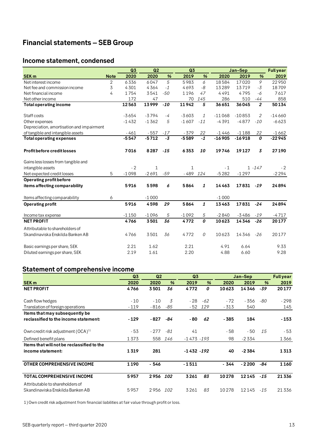# <span id="page-12-0"></span>**Financial statements – SEB Group**

# <span id="page-12-1"></span>**Income statement, condensed**

|                                           |                | Q3      | Q2      |       | Q <sub>3</sub> |              |          | Jan-Sep  |                | <b>Full year</b> |
|-------------------------------------------|----------------|---------|---------|-------|----------------|--------------|----------|----------|----------------|------------------|
| <b>SEK m</b>                              | <b>Note</b>    | 2020    | 2020    | %     | 2019           | %            | 2020     | 2019     | $\frac{9}{6}$  | 2019             |
| Net interest income                       | $\overline{2}$ | 6336    | 6047    | 5     | 5983           | 6            | 18584    | 17020    | 9              | 22950            |
| Net fee and commission income             | 3              | 4301    | 4364    | $-1$  | 4693           | -8           | 13289    | 13719    | $-3$           | 18709            |
| Net financial income                      | 4              | 1754    | 3541    | $-50$ | 1196           | 47           | 4491     | 4795     | -6             | 7617             |
| Net other income                          |                | 172     | 47      |       | 70             | 145          | 286      | 510      | -44            | 858              |
| Total operating income                    |                | 12563   | 13999   | $-10$ | 11942          | 5            | 36651    | 36045    | $\overline{2}$ | 50134            |
| Staff costs                               |                | $-3654$ | $-3794$ | $-4$  | $-3603$        | $\mathbf{1}$ | $-11068$ | $-10853$ | 2              | $-14660$         |
| Other expenses                            |                | $-1432$ | $-1362$ | 5     | $-1607$        | $-11$        | $-4391$  | $-4877$  | $-10$          | $-6623$          |
| Depreciation, amortisation and impairment |                |         |         |       |                |              |          |          |                |                  |
| of tangible and intangible assets         |                | $-461$  | $-557$  | $-17$ | $-379$         | 22           | $-1446$  | $-1188$  | 22             | $-1662$          |
| <b>Total operating expenses</b>           |                | $-5547$ | $-5712$ | $-3$  | $-5589$        | $-1$         | $-16905$ | $-16918$ | 0              | $-22945$         |
| <b>Profit before credit losses</b>        |                | 7016    | 8287    | $-15$ | 6353           | 10           | 19746    | 19127    | 3              | 27190            |
| Gains less losses from tangible and       |                |         |         |       |                |              |          |          |                |                  |
| intangible assets                         |                | $-2$    | 1       |       | 1              |              | $-1$     |          | $1 - 147$      | $-2$             |
| Net expected credit losses                | 5              | $-1098$ | $-2691$ | $-59$ | - 489          | 124          | $-5282$  | $-1297$  |                | $-2294$          |
| Operating profit before                   |                |         |         |       |                |              |          |          |                |                  |
| items affecting comparability             |                | 5916    | 5598    | 6     | 5864           | 1            | 14463    | 17831    | $-19$          | 24894            |
| Items affecting comparability             | 6              |         | $-1000$ |       |                |              | $-1000$  |          |                |                  |
| <b>Operating profit</b>                   |                | 5916    | 4598    | 29    | 5864           | 1            | 13463    | 17831    | $-24$          | 24894            |
| Income tax expense                        |                | $-1150$ | $-1096$ | 5     | $-1092$        | 5            | $-2840$  | $-3486$  | $-19$          | $-4717$          |
| <b>NET PROFIT</b>                         |                | 4766    | 3501    | 36    | 4772           | 0            | 10623    | 14346    | $-26$          | 20177            |
| Attributable to shareholders of           |                |         |         |       |                |              |          |          |                |                  |
| Skandinaviska Enskilda Banken AB          |                | 4766    | 3501    | 36    | 4772           | 0            | 10623    | 14346    | $-26$          | 20177            |
| Basic earnings per share, SEK             |                | 2.21    | 1.62    |       | 2.21           |              | 4.91     | 6.64     |                | 9.33             |
| Diluted earnings per share, SEK           |                | 2.19    | 1.61    |       | 2.20           |              | 4.88     | 6.60     |                | 9.28             |

# <span id="page-12-2"></span>**Statement of comprehensive income**

|                                            | Q <sub>3</sub> | Q <sub>2</sub> |               | Q <sub>3</sub> |               |        | Jan-Sep |               | <b>Full year</b> |
|--------------------------------------------|----------------|----------------|---------------|----------------|---------------|--------|---------|---------------|------------------|
| <b>SEK m</b>                               | 2020           | 2020           | $\frac{9}{6}$ | 2019           | $\frac{9}{6}$ | 2020   | 2019    | $\frac{9}{6}$ | 2019             |
| <b>NET PROFIT</b>                          | 4766           | 3501           | 36            | 4772           | 0             | 10623  | 14346   | -39           | 20177            |
| Cash flow hedges                           | $-10$          | $-10$          | 3             | - 28           | $-62$         | $-72$  | - 356   | -80           | - 298            |
| Translation of foreign operations          | $-119$         | - 816          | -85           | - 52           | 129           | $-313$ | 540     |               | 145              |
| Items that may subsequently be             |                |                |               |                |               |        |         |               |                  |
| reclassified to the income statement:      | $-129$         | $-827$         | -84           | - 80           | 62            | - 385  | 184     |               | - 153            |
| Own credit risk adjustment $(OCA)^{1}$     | - 53           | $-277$         | -81           | 41             |               | - 58   | $-50$   | 15            | - 53             |
| Defined benefit plans                      | 1373           | 558            | 146           | $-1473 - 193$  |               | 98     | $-2334$ |               | 1366             |
| Items that will not be reclassified to the |                |                |               |                |               |        |         |               |                  |
| income statement:                          | 1319           | 281            |               | $-1432 - 192$  |               | 40     | $-2384$ |               | 1313             |
| OTHER COMPREHENSIVE INCOME                 | 1190           | - 546          |               | $-1511$        |               | - 344  | $-2200$ | -84           | 1160             |
| <b>TOTAL COMPREHENSIVE INCOME</b>          | 5957           | 2956           | 102           | 3261           | 83            | 10278  | 12145   | $-15$         | 21336            |
| Attributable to shareholders of            |                |                |               |                |               |        |         |               |                  |
| Skandinaviska Enskilda Banken AB           | 5957           | 2956           | 102           | 3261           | 83            | 10278  | 12145   | $-15$         | 21336            |

<span id="page-12-3"></span>1) Own credit risk adjustment from financial liabilities at fair value through profit or loss.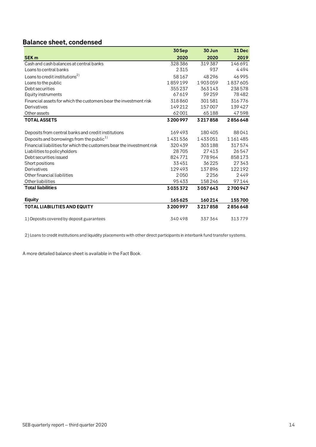# **Balance sheet, condensed**

|                                                                        | 30Sep   | 30 Jun  | <b>31 Dec</b> |
|------------------------------------------------------------------------|---------|---------|---------------|
| <b>SEK m</b>                                                           | 2020    | 2020    | 2019          |
| Cash and cash balances at central banks                                | 328386  | 319387  | 146691        |
| Loans to central banks                                                 | 2315    | 937     | 4494          |
| Loans to credit institutions <sup>2)</sup>                             | 58167   | 48296   | 46995         |
| Loans to the public                                                    | 1859199 | 1903059 | 1837605       |
| Debt securities                                                        | 355237  | 363143  | 238578        |
| Equity instruments                                                     | 67619   | 59259   | 78482         |
| Financial assets for which the customers bear the investment risk      | 318860  | 301581  | 316776        |
| Derivatives                                                            | 149212  | 157007  | 139427        |
| Other assets                                                           | 62001   | 65188   | 47598         |
| <b>TOTAL ASSETS</b>                                                    | 3200997 | 3217858 | 2856648       |
|                                                                        |         |         |               |
| Deposits from central banks and credit institutions                    | 169493  | 180405  | 88041         |
| Deposits and borrowings from the public <sup>1)</sup>                  | 1431536 | 1433051 | 1161485       |
| Financial liabilities for which the customers bear the investment risk | 320439  | 303188  | 317574        |
| Liabilities to policyholders                                           | 28705   | 27413   | 26547         |
| Debt securities issued                                                 | 824771  | 778964  | 858173        |
| Short positions                                                        | 33451   | 36225   | 27343         |
| Derivatives                                                            | 129493  | 137896  | 122192        |
| Other financial liabilities                                            | 2050    | 2256    | 2449          |
| Other liabilities                                                      | 95433   | 158246  | 97144         |
| <b>Total liabilities</b>                                               | 3035372 | 3057643 | 2700947       |
| <b>Equity</b>                                                          | 165625  | 160214  | 155700        |
| <b>TOTAL LIABILITIES AND EQUITY</b>                                    | 3200997 | 3217858 | 2856648       |
| 1) Deposits covered by deposit guarantees                              | 340498  | 337364  | 313779        |

2) Loans to credit institutions and liquidity placements with other direct participants in interbank fund transfer systems.

A more detailed balance sheet is available in the Fact Book.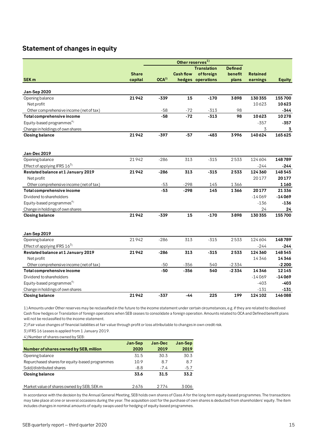# <span id="page-14-0"></span>**Statement of changes in equity**

|                                         | Other reserves <sup>1)</sup> |                  |                  |                    |                |                 |               |  |
|-----------------------------------------|------------------------------|------------------|------------------|--------------------|----------------|-----------------|---------------|--|
|                                         |                              |                  |                  | <b>Translation</b> | <b>Defined</b> |                 |               |  |
|                                         | <b>Share</b>                 |                  | <b>Cash flow</b> | offoreign          | benefit        | <b>Retained</b> |               |  |
| SEK <sub>m</sub>                        | capital                      | OCA <sup>2</sup> |                  | hedges operations  | plans          | earnings        | <b>Equity</b> |  |
|                                         |                              |                  |                  |                    |                |                 |               |  |
| Jan-Sep 2020                            |                              |                  |                  |                    |                |                 |               |  |
| Opening balance                         | 21942                        | $-339$           | 15               | $-170$             | 3898           | 130 355         | 155700        |  |
| Net profit                              |                              |                  |                  |                    |                | 10623           | 10623         |  |
| Other comprehensive income (net of tax) |                              | $-58$<br>$-58$   | $-72$<br>$-72$   | $-313$<br>$-313$   | 98<br>98       |                 | -344<br>10278 |  |
| Total comprehensive income              |                              |                  |                  |                    |                | 10623           |               |  |
| Equity-based programmes <sup>4)</sup>   |                              |                  |                  |                    |                | $-357$          | $-357$        |  |
| Change in holdings of own shares        |                              |                  |                  | $-483$             |                | 3               | 3<br>165625   |  |
| <b>Closing balance</b>                  | 21942                        | $-397$           | $-57$            |                    | 3996           | 140624          |               |  |
|                                         |                              |                  |                  |                    |                |                 |               |  |
| Jan-Dec 2019                            |                              |                  |                  |                    |                |                 |               |  |
| Opening balance                         | 21942                        | $-286$           | 313              | $-315$             | 2533           | 124 604         | 148789        |  |
| Effect of applying IFRS $16^{3}$        |                              |                  |                  |                    |                | $-244$          | -244          |  |
| Restated balance at 1 January 2019      | 21942                        | $-286$           | 313              | $-315$             | 2533           | 124 360         | 148545        |  |
| Net profit                              |                              |                  |                  |                    |                | 20177           | 20177         |  |
| Other comprehensive income (net of tax) |                              | $-53$            | $-298$           | 145                | 1366           |                 | 1160          |  |
| Total comprehensive income              |                              | $-53$            | $-298$           | 145                | 1366           | 20177           | 21336         |  |
| Dividend to shareholders                |                              |                  |                  |                    |                | $-14069$        | $-14069$      |  |
| Equity-based programmes <sup>4)</sup>   |                              |                  |                  |                    |                | $-136$          | $-136$        |  |
| Change in holdings of own shares        |                              |                  |                  |                    |                | 24              | 24            |  |
| <b>Closing balance</b>                  | 21942                        | $-339$           | 15               | $-170$             | 3898           | 130 355         | 155700        |  |
|                                         |                              |                  |                  |                    |                |                 |               |  |
| Jan-Sep 2019                            |                              |                  |                  |                    |                |                 |               |  |
| Opening balance                         | 21942                        | $-286$           | 313              | $-315$             | 2533           | 124 604         | 148789        |  |
| Effect of applying IFRS $16^{3}$        |                              |                  |                  |                    |                | $-244$          | -244          |  |
| Restated balance at 1 January 2019      | 21942                        | $-286$           | 313              | $-315$             | 2533           | 124 360         | 148545        |  |
| Net profit                              |                              |                  |                  |                    |                | 14346           | 14346         |  |
| Other comprehensive income (net of tax) |                              | $-50$            | $-356$           | 540                | $-2334$        |                 | $-2200$       |  |
| Total comprehensive income              |                              | $-50$            | $-356$           | 540                | $-2334$        | 14346           | 12145         |  |
| Dividend to shareholders                |                              |                  |                  |                    |                | $-14069$        | $-14069$      |  |
| Equity-based programmes <sup>4)</sup>   |                              |                  |                  |                    |                | $-403$          | $-403$        |  |
| Change in holdings of own shares        |                              |                  |                  |                    |                | $-131$          | $-131$        |  |
| <b>Closing balance</b>                  | 21942                        | $-337$           | $-44$            | 225                | 199            | 124 102         | 146088        |  |

1) Amounts under Other reserves may be reclassified in the future to the income statement under certain circumstances, e.g. if they are related to dissolved Cash flow hedges or Translation of foreign operations when SEB ceases to consolidate a foreign operation. Amounts related to OCA and Defined benefit plans will not be reclassified to the income statement.

2) Fair value changes of financial liabilities at fair value through profit or loss attributable to changes in own credit risk.

3) IFRS 16 Leases is applied from 1 January 2019.

4) Number of shares owned by SEB:

|                                                | Jan-Sep | Jan-Dec | Jan-Sep |
|------------------------------------------------|---------|---------|---------|
| <b>Number of shares owned by SEB, million</b>  | 2020    | 2019    | 2019    |
| Opening balance                                | 31.5    | 30.3    | 30.3    |
| Repurchased shares for equity-based programmes | 10.9    | 8.7     | 8.7     |
| Sold/distributed shares                        | $-8.8$  | $-7.4$  | $-5.7$  |
| <b>Closing balance</b>                         | 33.6    | 31.5    | 33.2    |
|                                                |         |         |         |
| Market value of shares owned by SEB, SEK m     | 2676    | 2 7 7 4 | 3006    |

In accordance with the decision by the Annual General Meeting, SEB holds own shares of Class A for the long-term equity-based programmes. The transactions may take place at one or several occasions during the year. The acquisition cost for the purchase of own shares is deducted from shareholders' equity. The item includes changes in nominal amounts of equity swaps used for hedging of equity-based programmes.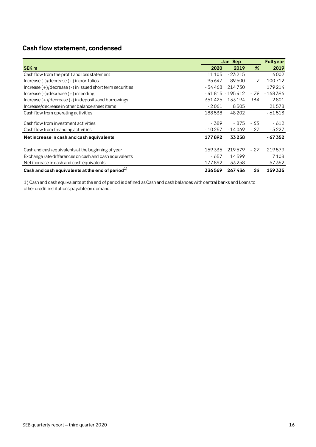# <span id="page-15-0"></span>**Cash flow statement, condensed**

|                                                                |          | Jan-Sep           |       | <b>Fullyear</b> |
|----------------------------------------------------------------|----------|-------------------|-------|-----------------|
| <b>SEK m</b>                                                   | 2020     | 2019              | %     | 2019            |
| Cash flow from the profit and loss statement                   | 11 1 05  | $-23215$          |       | 4002            |
| Increase $(-1/d)$ ecrease $(+)$ in portfolios                  | $-95647$ | $-89600$          | 7     | $-100712$       |
| Increase $(+)/$ decrease $(-)$ in issued short term securities | - 34 468 | 214730            |       | 179214          |
| Increase $(-1/d)$ ecrease $(+)$ in lending                     |          | $-41815 - 195412$ | - 79  | $-168396$       |
| $Increase (+)/decrease (-)$ in deposits and borrowings         | 351425   | 133194            | 164   | 2801            |
| Increase/decrease in other balance sheet items                 | $-2061$  | 8505              |       | 21578           |
| Cash flow from operating activities                            | 188538   | 48 20 2           |       | $-61513$        |
| Cash flow from investment activities                           | - 389    | - 875             | - 55  | - 612           |
| Cash flow from financing activities                            | $-10257$ | - 14 069          | - 27  | - 5 2 2 7       |
| Net increase in cash and cash equivalents                      | 177892   | 33258             |       | $-67352$        |
| Cash and cash equivalents at the beginning of year             | 159335   | 219579            | $-27$ | 219579          |
| Exchange rate differences on cash and cash equivalents         | - 657    | 14599             |       | 7108            |
| Net increase in cash and cash equivalents                      | 177892   | 33258             |       | $-67352$        |
| Cash and cash equivalents at the end of period <sup>1)</sup>   | 336569   | 267436            | 26    | 159335          |

1) Cash and cash equivalents at the end of period is defined as Cash and cash balances with central banks and Loans to other credit institutions payable on demand.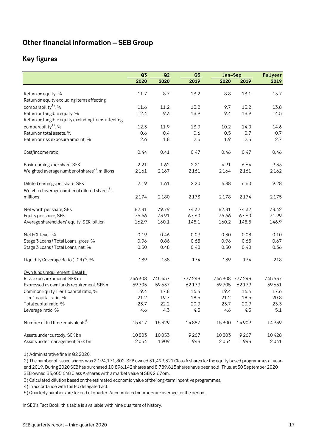# <span id="page-16-0"></span>**Other financial information – SEB Group**

# <span id="page-16-1"></span>**Key figures**

|                                                                                             | Q <sub>3</sub> | Q2     | Q <sub>3</sub> | Jan-Sep |                 | <b>Full year</b> |
|---------------------------------------------------------------------------------------------|----------------|--------|----------------|---------|-----------------|------------------|
|                                                                                             | 2020           | 2020   | 2019           | 2020    | 2019            | 2019             |
|                                                                                             |                |        |                |         |                 |                  |
| Return on equity, %                                                                         | 11.7           | 8.7    | 13.2           | 8.8     | 13.1            | 13.7             |
| Return on equity excluding items affecting                                                  |                |        |                |         |                 |                  |
| comparability <sup>1</sup> , %                                                              | 11.6           | 11.2   | 13.2           | 9.7     | 13.2            | 13.8             |
| Return on tangible equity, %                                                                | 12.4           | 9.3    | 13.9           | 9.4     | 13.9            | 14.5             |
| Return on tangible equity excluding items affecting                                         |                |        |                |         |                 |                  |
| comparability <sup>1</sup> , %                                                              | 12.3           | 11.9   | 13.9           | 10.2    | 14.0            | 14.6             |
| Return on total assets, %                                                                   | 0.6            | 0.4    | 0.6            | 0.5     | 0.7             | 0.7              |
| Return on risk exposure amount, %                                                           | 2.6            | 1.8    | 2.5            | 1.9     | 2.5             | 2.7              |
| Cost/income ratio                                                                           | 0.44           | 0.41   | 0.47           | 0.46    | 0.47            | 0.46             |
| Basic earnings per share, SEK                                                               | 2.21           | 1.62   | 2.21           | 4.91    | 6.64            | 9.33             |
| Weighted average number of shares <sup>2)</sup> , millions                                  | 2161           | 2167   | 2161           | 2164    | 2161            | 2162             |
| Diluted earnings per share, SEK<br>Weighted average number of diluted shares <sup>3</sup> , | 2.19           | 1.61   | 2.20           | 4.88    | 6.60            | 9.28             |
| millions                                                                                    | 2174           | 2180   | 2173           | 2178    | 2174            | 2175             |
| Net worth per share, SEK                                                                    | 82.81          | 79.79  | 74.32          | 82.81   | 74.32           | 78.42            |
| Equity per share, SEK                                                                       | 76.66          | 73.91  | 67.60          | 76.66   | 67.60           | 71.99            |
| Average shareholders' equity, SEK, billion                                                  | 162.9          | 160.1  | 145.1          | 160.2   | 145.5           | 146.9            |
| Net ECL level, %                                                                            | 0.19           | 0.46   | 0.09           | 0.30    | 0.08            | 0.10             |
| Stage 3 Loans / Total Loans, gross, %                                                       | 0.96           | 0.86   | 0.65           | 0.96    | 0.65            | 0.67             |
| Stage 3 Loans / Total Loans, net, %                                                         | 0.50           | 0.48   | 0.40           | 0.50    | 0.40            | 0.36             |
| Liquidity Coverage Ratio (LCR) <sup>4</sup> , %                                             | 139            | 138    | 174            | 139     | 174             | 218              |
| Own funds requirement, Basel III                                                            |                |        |                |         |                 |                  |
| Risk exposure amount, SEK m                                                                 | 746308         | 745457 | 777243         |         | 746 308 777 243 | 745637           |
| Expressed as own funds requirement, SEK m                                                   | 59705          | 59637  | 62179          | 59705   | 62179           | 59651            |
| Common Equity Tier 1 capital ratio, %                                                       | 19.4           | 17.8   | 16.4           | 19.4    | 16.4            | 17.6             |
| Tier 1 capital ratio, %                                                                     | 21.2           | 19.7   | 18.5           | 21.2    | 18.5            | 20.8             |
| Total capital ratio, %                                                                      | 23.7           | 22.2   | 20.9           | 23.7    | 20.9            | 23.3             |
| Leverage ratio, %                                                                           | 4.6            | 4.3    | 4.5            | 4.6     | 4.5             | 5.1              |
| Number of full time equivalents <sup>5)</sup>                                               | 15417          | 15329  | 14887          | 15300   | 14909           | 14939            |
| Assets under custody, SEK bn                                                                | 10803          | 10053  | 9267           | 10803   | 9267            | 10428            |
| Assets under management, SEK bn                                                             | 2054           | 1909   | 1943           | 2054    | 1943            | 2041             |

1) Administrative fine in Q2 2020.

2) The number of issued shares was 2,194,171,802. SEB owned 31,499,321 Class A shares for the equity based programmes at yearend 2019. During 2020 SEB has purchased 10,896,142 shares and 8,789,815 shares have been sold. Thus, at 30 September 2020 SEB owned 33,605,648 Class A-shares with a market value of SEK 2,676m.

3) Calculated dilution based on the estimated economic value of the long-term incentive programmes.

4) In accordance with the EU delegated act.

5) Quarterly numbers are for end of quarter. Accumulated numbers are average for the period.

In SEB's Fact Book, this table is available with nine quarters of history.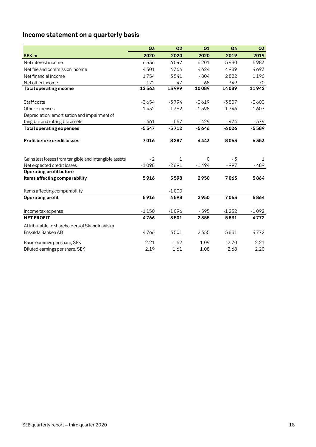# <span id="page-17-0"></span>**Income statement on a quarterly basis**

|                                                       | Q3      | Q2           | Q1       | Q <sub>4</sub> | Q3      |
|-------------------------------------------------------|---------|--------------|----------|----------------|---------|
| <b>SEK m</b>                                          | 2020    | 2020         | 2020     | 2019           | 2019    |
| Net interest income                                   | 6336    | 6047         | 6201     | 5930           | 5983    |
| Net fee and commission income                         | 4301    | 4364         | 4624     | 4989           | 4693    |
| Net financial income                                  | 1754    | 3541         | $-804$   | 2822           | 1196    |
| Net other income                                      | 172     | 47           | 68       | 349            | 70      |
| <b>Total operating income</b>                         | 12563   | 13999        | 10089    | 14089          | 11942   |
|                                                       |         |              |          |                |         |
| Staff costs                                           | $-3654$ | $-3794$      | $-3619$  | $-3807$        | $-3603$ |
| Other expenses                                        | $-1432$ | $-1362$      | $-1598$  | $-1746$        | $-1607$ |
| Depreciation, amortisation and impairment of          |         |              |          |                |         |
| tangible and intangible assets                        | $-461$  | $-557$       | $-429$   | - 474          | - 379   |
| <b>Total operating expenses</b>                       | $-5547$ | $-5712$      | $-5646$  | $-6026$        | $-5589$ |
| Profit before credit losses                           | 7016    | 8287         | 4443     | 8063           | 6353    |
| Gains less losses from tangible and intangible assets | $-2$    | $\mathbf{1}$ | $\Omega$ | $-3$           | 1       |
| Net expected credit losses                            | $-1098$ | $-2691$      | $-1494$  | $-997$         | - 489   |
| Operating profit before                               |         |              |          |                |         |
| items affecting comparability                         | 5916    | 5598         | 2950     | 7063           | 5864    |
| Items affecting comparability                         |         | $-1000$      |          |                |         |
| <b>Operating profit</b>                               | 5916    | 4598         | 2950     | 7063           | 5864    |
| Income tax expense                                    | $-1150$ | $-1096$      | $-595$   | $-1232$        | $-1092$ |
| <b>NET PROFIT</b>                                     | 4766    | 3501         | 2355     | 5831           | 4772    |
| Attributable to shareholders of Skandinaviska         |         |              |          |                |         |
| Enskilda Banken AB                                    | 4766    | 3501         | 2355     | 5831           | 4772    |
| Basic earnings per share, SEK                         | 2.21    | 1.62         | 1.09     | 2.70           | 2.21    |
| Diluted earnings per share, SEK                       | 2.19    | 1.61         | 1.08     | 2.68           | 2.20    |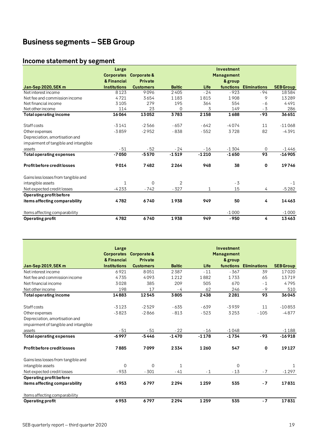# <span id="page-18-0"></span>**Business segments – SEB Group**

# <span id="page-18-1"></span>**Income statement by segment**

|                                       | Large                            |                               |                |         | Investment                   |                     |                  |
|---------------------------------------|----------------------------------|-------------------------------|----------------|---------|------------------------------|---------------------|------------------|
|                                       | <b>Corporates</b><br>& Financial | Corporate &<br><b>Private</b> |                |         | <b>Management</b><br>& group |                     |                  |
| <b>Jan-Sep 2020, SEK m</b>            | <b>Institutions</b>              | <b>Customers</b>              | <b>Baltic</b>  | Life    | functions                    | <b>Eliminations</b> | <b>SEB Group</b> |
| Net interest income                   | 8123                             | 9096                          | 2405           | $-24$   | $-923$                       | $-94$               | 18584            |
| Net fee and commission income         | 4721                             | 3654                          | 1183           | 1815    | 1908                         | 9                   | 13289            |
| Net financial income                  | 3105                             | 279                           | 195            | 364     | 554                          | - 6                 | 4491             |
| Net other income                      | 114                              | 23                            | 0              | 3       | 149                          | $-3$                | 286              |
| <b>Total operating income</b>         | 16064                            | 13052                         | 3783           | 2158    | 1688                         | $-93$               | 36651            |
| Staff costs                           | $-3141$                          | $-2566$                       | $-657$         | $-642$  | $-4074$                      | 11                  | $-11068$         |
| Other expenses                        | $-3859$                          | $-2952$                       | $-838$         | $-552$  | 3728                         | 82                  | $-4391$          |
| Depreciation, amortisation and        |                                  |                               |                |         |                              |                     |                  |
| impairment of tangible and intangible |                                  |                               |                |         |                              |                     |                  |
| assets                                | $-51$                            | $-52$                         | $-24$          | $-16$   | $-1304$                      | $\mathbf 0$         | $-1446$          |
| <b>Total operating expenses</b>       | $-7050$                          | $-5570$                       | $-1519$        | $-1210$ | $-1650$                      | 93                  | $-16905$         |
| Profit before credit losses           | 9014                             | 7482                          | 2264           | 948     | 38                           | $\mathbf 0$         | 19746            |
| Gains less losses from tangible and   |                                  |                               |                |         |                              |                     |                  |
| intangible assets                     | $\mathbf{1}$                     | $\Omega$                      | $\overline{2}$ |         | $-3$                         |                     | $-1$             |
| Net expected credit losses            | $-4233$                          | $-742$                        | $-327$         | 1       | 15                           | 4                   | $-5282$          |
| Operating profit before               |                                  |                               |                |         |                              |                     |                  |
| items affecting comparability         | 4782                             | 6740                          | 1938           | 949     | 50                           | 4                   | 14463            |
| Items affecting comparability         |                                  |                               |                |         | $-1000$                      |                     | $-1000$          |
| Operating profit                      | 4782                             | 6740                          | 1938           | 949     | $-950$                       | 4                   | 13463            |

|                                       | Large               |                        |               |         | Investment        |                        |                  |
|---------------------------------------|---------------------|------------------------|---------------|---------|-------------------|------------------------|------------------|
|                                       |                     | Corporates Corporate & |               |         | <b>Management</b> |                        |                  |
|                                       | & Financial         | <b>Private</b>         |               |         | & group           |                        |                  |
| Jan-Sep 2019, SEK m                   | <b>Institutions</b> | <b>Customers</b>       | <b>Baltic</b> | Life    |                   | functions Eliminations | <b>SEB Group</b> |
| Net interest income                   | 6921                | 8051                   | 2387          | $-11$   | $-367$            | 39                     | 17020            |
| Net fee and commission income         | 4735                | 4093                   | 1212          | 1882    | 1733              | 65                     | 13719            |
| Net financial income                  | 3028                | 385                    | 209           | 505     | 670               | $-1$                   | 4795             |
| Net other income                      | 198                 | 17                     | - 4           | 62      | 246               | $-9$                   | 510              |
| <b>Total operating income</b>         | 14883               | 12545                  | 3805          | 2438    | 2281              | 93                     | 36045            |
| Staff costs                           | $-3123$             | $-2529$                | $-635$        | $-639$  | $-3939$           | 11                     | $-10853$         |
| Other expenses                        | $-3823$             | $-2866$                | $-813$        | $-523$  | 3253              | $-105$                 | $-4877$          |
| Depreciation, amortisation and        |                     |                        |               |         |                   |                        |                  |
| impairment of tangible and intangible |                     |                        |               |         |                   |                        |                  |
| assets                                | $-51$               | $-51$                  | $-22$         | $-16$   | $-1048$           |                        | $-1188$          |
| <b>Total operating expenses</b>       | $-6997$             | $-5446$                | $-1470$       | $-1178$ | $-1734$           | $-93$                  | $-16918$         |
| <b>Profit before credit losses</b>    | 7885                | 7099                   | 2334          | 1260    | 547               | 0                      | 19127            |
| Gains less losses from tangible and   |                     |                        |               |         |                   |                        |                  |
| intangible assets                     | 0                   | $\Omega$               | 1             |         | $\Omega$          |                        |                  |
| Net expected credit losses            | $-933$              | $-301$                 | $-41$         | $-1$    | $-13$             | $-7$                   | $-1297$          |
| Operating profit before               |                     |                        |               |         |                   |                        |                  |
| items affecting comparability         | 6953                | 6797                   | 2294          | 1259    | 535               | $-7$                   | 17831            |
| Items affecting comparability         |                     |                        |               |         |                   |                        |                  |
| Operating profit                      | 6953                | 6797                   | 2294          | 1259    | 535               | $-7$                   | 17831            |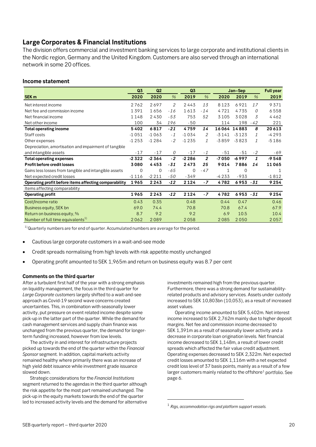# <span id="page-19-0"></span>**Large Corporates & Financial Institutions**

The division offers commercial and investment banking services to large corporate and institutional clients in the Nordic region, Germany and the United Kingdom. Customers are also served through an international network in some 20 offices.

#### **Income statement**

|                                                       | Q3      | Q2       |       | Q3      |                |              | Jan-Sep     |               | <b>Full year</b> |
|-------------------------------------------------------|---------|----------|-------|---------|----------------|--------------|-------------|---------------|------------------|
| SEK <sub>m</sub>                                      | 2020    | 2020     | $\%$  | 2019    | $\%$           | 2020         | 2019        | $\%$          | 2019             |
| Net interest income                                   | 2762    | 2697     | 2     | 2443    | 13             | 8123         | 6921        | 17            | 9371             |
| Net fee and commission income                         | 1391    | 1656     | $-16$ | 1613    | $-14$          | 4721         | 4735        | 0             | 6558             |
| Net financial income                                  | 1148    | 2430     | $-53$ | 753     | 52             | 3105         | 3028        | 3             | 4462             |
| Net other income                                      | 100     | 34       | 196   | $-50$   |                | 114          | 198         | $-42$         | 221              |
| <b>Total operating income</b>                         | 5402    | 6817     | $-21$ | 4759    | 14             |              | 16064 14883 | 8             | 20613            |
| Staff costs                                           | $-1051$ | $-1063$  | $-1$  | $-1034$ | 2              | $-3141$      | $-3123$     | 1             | $-4293$          |
| Other expenses                                        | $-1253$ | $-1284$  | $-2$  | $-1235$ | $\mathcal{I}$  | $-3859$      | $-3823$     | $\mathcal{I}$ | $-5186$          |
| Depreciation, amortisation and impairment of tangible |         |          |       |         |                |              |             |               |                  |
| and intangible assets                                 | $-17$   | $-17$    | 0     | $-17$   | $-1$           | $-51$        | $-51$       | $-2$          | $-69$            |
| <b>Total operating expenses</b>                       | -2322   | $-2364$  | $-2$  | $-2286$ | $\overline{2}$ | -7050        | $-6997$     | 1             | $-9548$          |
| Profit before credit losses                           | 3080    | 4453     | $-31$ | 2473    | 25             | 9014         | 7886        | 14            | 11065            |
| Gains less losses from tangible and intangible assets | 0       | $\Omega$ | $-65$ | 0       | $-47$          | $\mathbf{1}$ | $\Omega$    |               | 1                |
| Net expected credit losses                            | $-1116$ | $-2211$  | $-50$ | $-349$  |                | $-4233$      | $-933$      |               | $-1812$          |
| Operating profit before items affecting comparability | 1965    | 2243     | $-12$ | 2124    | $-7$           | 4782         | $6953 - 31$ |               | 9254             |
| Items affecting comparability                         |         |          |       |         |                |              |             |               |                  |
| <b>Operating profit</b>                               | 1965    | 2243     | $-12$ | 2124    | $-7$           | 4782         | $6953 - 31$ |               | 9254             |
| Cost/Income ratio                                     | 0.43    | 0.35     |       | 0.48    |                | 0.44         | 0.47        |               | 0.46             |
| Business equity, SEK bn                               | 69.0    | 74.4     |       | 70.8    |                | 70.8         | 67.4        |               | 67.9             |
| Return on business equity, %                          | 8.7     | 9.2      |       | 9.2     |                | 6.9          | 10.5        |               | 10.4             |
| Number of full time equivalents <sup>1)</sup>         | 2062    | 2089     |       | 2058    |                | 2085         | 2050        |               | 2057             |

 $1)$ Quarterly numbers are for end of quarter. Accumulated numbers are average for the period.

- Cautious large corporate customers in a wait-and-see mode
- Credit spreads normalising from high levels with risk appetite mostly unchanged
- Operating profit amounted to SEK 1,965m and return on business equity was 8.7 per cent

#### **Comments on the third quarter**

After a turbulent first half of the year with a strong emphasis on liquidity management, the focus in the third quarter for *Large Corporate customers* largely shifted to a wait-and-see approach as Covid-19 second wave concerns created uncertainties. This, in combination with seasonally lower activity, put pressure on event related income despite some pick-up in the latter part of the quarter. While the demand for cash management services and supply chain finance was unchanged from the previous quarter, the demand for longerterm funding increased, however from low levels.

The activity in and interest for infrastructure projects picked up towards the end of the quarter within the *Financial Sponsor* segment. In addition, capital markets activity remained healthy where primarily there was an increase of high yield debt issuance while investment grade issuance slowed down.

<span id="page-19-1"></span>Strategic considerations for the *Financial Institutions*  segment returned to the agendas in the third quarter although the risk appetite for the most part remained unchanged. The pick-up in the equity markets towards the end of the quarter led to increased activity levels and the demand for alternative

investments remained high from the previous quarter. Furthermore, there was a strong demand for sustainabilityrelated products and advisory services. Assets under custody increased to SEK 10,803bn (10,053), as a result of increased asset values.

Operating income amounted to SEK 5,402m. Net interest income increased to SEK 2,762m mainly due to higher deposit margins. Net fee and commission income decreased to SEK 1,391m as a result of seasonally lower activity and a decrease in corporate loan origination levels. Net financial income decreased to SEK 1,148m, a result of lower credit spreads which affected the fair value credit adjustment. Operating expenses decreased to SEK 2,322m. Net expected credit losses amounted to SEK 1,116m with a net expected credit loss level of 37 basis points, mainly as a result of a few larger customers mainly related to the offshore $1$  portfolio. See page 6.

1

<sup>1</sup> *Rigs, accommodation rigs and platform support vessels.*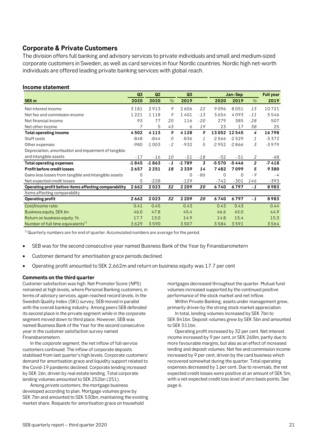# <span id="page-20-0"></span>**Corporate & Private Customers**

The division offers full banking and advisory services to private individuals and small and medium-sized corporate customers in Sweden, as well as card services in four Nordic countries. Nordic high net-worth individuals are offered leading private banking services with global reach.

#### **Income statement**

|                                                       | Q3      | Q <sub>2</sub> |      | Q3          |                |             | Jan-Sep     |                |         |
|-------------------------------------------------------|---------|----------------|------|-------------|----------------|-------------|-------------|----------------|---------|
| SEK <sub>m</sub>                                      | 2020    | 2020           | $\%$ | 2019        |                | 2020        | 2019        | $\%$           | 2019    |
| Net interest income                                   | 3181    | 2913           | 9    | 2606        | 22             | 9096        | 8051        | 13             | 10721   |
| Net fee and commission income                         | 1221    | 1118           | 9    | 1401        | $-13$          | 3654        | 4093        | $-11$          | 5546    |
| Net financial income                                  | 93      | 77             | 20   | 116         | $-20$          | 279         | 385         | $-28$          | 507     |
| Net other income                                      | 7       | 5              | 43   | 6           | 19             | 23          | 17          | 38             | 25      |
| <b>Total operating income</b>                         | 4502    | 4113           | 9    | 4128        | 9              |             | 13052 12545 | 4              | 16798   |
| Staff costs                                           | $-848$  | $-844$         | 0    | $-836$      | 1              | $-2566$     | $-2529$     | 1              | $-3372$ |
| Other expenses                                        | $-980$  | $-1003$        | $-2$ | $-932$      | 5              | $-2952$     | $-2866$     | 3              | $-3979$ |
| Depreciation, amortisation and impairment of tangible |         |                |      |             |                |             |             |                |         |
| and intangible assets                                 | $-17$   | $-16$          | 10   | $-21$       | $-18$          | $-52$       | -51         | 2              | -68     |
| <b>Total operating expenses</b>                       | $-1845$ | $-1863$        | $-1$ | $-1789$     | $\overline{3}$ | $-5570$     | $-5446$     | $\overline{2}$ | $-7418$ |
| Profit before credit losses                           | 2657    | 2251           | 18   | 2339        | 14             | 7482        | 7099        | 5              | 9380    |
| Gains less losses from tangible and intangible assets | 0       |                |      | $\mathbf 0$ | -86            | $\mathbf 0$ | $\Omega$    | $-9$           | $-4$    |
| Net expected credit losses                            | 5       | $-228$         |      | $-129$      |                | $-742$      | $-301$      | 146            | $-393$  |
| Operating profit before items affecting comparability | 2662    | 2023           | 32   | 2209        | 20             | 6740        | 6797        | $-1$           | 8983    |
| Items affecting comparability                         |         |                |      |             |                |             |             |                |         |
| <b>Operating profit</b>                               | 2662    | 2023           | 32   | 2209        | 20             | 6740        | 6797        | $-1$           | 8983    |
| Cost/Income ratio                                     | 0.41    | 0.45           |      | 0.43        |                | 0.43        | 0.43        |                | 0.44    |
| Business equity, SEK bn                               | 46.0    | 47.8           |      | 45.4        |                | 46.6        | 45.0        |                | 44.9    |
| Return on business equity, %                          | 17.7    | 13.0           |      | 14.9        |                | 14.8        | 15.4        |                | 15.3    |
| Number of full time equivalents <sup>1)</sup>         | 3629    | 3590           |      | 3507        |                | 3584        | 3591        |                | 3564    |

 $1)$ Quarterly numbers are for end of quarter. Accumulated numbers are average for the period.

- SEB was for the second consecutive year named Business Bank of the Year by Finansbarometern
- Customer demand for amortisation grace periods declined
- Operating profit amounted to SEK 2,662m and return on business equity was 17.7 per cent

#### **Comments on the third quarter**

Customer satisfaction was high. Net Promoter Score (NPS) remained at high levels, where Personal Banking customers, in terms of advisory services, again reached record levels. In the Swedish Quality Index (SKI) survey, SEB moved in parallel with the overall banking industry. Among peers SEB defended its second place in the private segment while in the corporate segment moved down to third place. However, SEB was named Business Bank of the Year for the second consecutive year in the customer satisfaction survey named Finansbarometern.

In the *corporate segment*, the net inflow of full-service customers continued. The inflow of corporate deposits stabilised from last quarter's high levels. Corporate customers' demand for amortisation grace and liquidity support related to the Covid-19 pandemic declined. Corporate lending increased by SEK 1bn, driven by real estate lending. Total corporate lending volumes amounted to SEK 252bn (251).

Among *private customers*, the mortgage business developed according to plan. Mortgage volumes grew by SEK 7bn and amounted to SEK 530bn, maintaining the existing market share. Requests for amortisation grace on household

mortgages decreased throughout the quarter. Mutual fund volumes increased supported by the continued positive performance of the stock market and net inflow.

Within Private Banking, assets under management grew, primarily driven by the strong stock market appreciation.

In total, lending volumes increased by SEK 7bn to SEK 841bn. Deposit volumes grew by SEK 5bn and amounted to SEK 511bn.

Operating profit increased by 32 per cent. Net interest income increased by 9 per cent, or SEK 268m, partly due to more favourable margins, but also as an effect of increased lending and deposit volumes. Net fee and commission income increased by 9 per cent, driven by the card business which recovered somewhat during the quarter. Total operating expenses decreased by 1 per cent. Due to reversals, the net expected credit losses were positive at an amount of SEK 5m, with a net expected credit loss level of zero basis points. See page 6.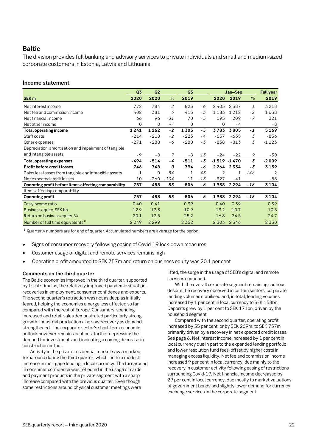#### <span id="page-21-0"></span>**Baltic**

The division provides full banking and advisory services to private individuals and small and medium-sized corporate customers in Estonia, Latvia and Lithuania.

#### **Income statement**

|                                                       | Q3     | Q <sub>2</sub> |        | Q <sub>3</sub> |       |                | Jan-Sep        |               | <b>Full year</b> |
|-------------------------------------------------------|--------|----------------|--------|----------------|-------|----------------|----------------|---------------|------------------|
| SEK <sub>m</sub>                                      | 2020   | 2020           | $\%$   | 2019           |       | 2020           | 2019           | $\%$          | 2019             |
| Net interest income                                   | 772    | 784            | $-2$   | 823            | - 6   | 2405           | 2387           | $\mathcal{I}$ | 3218             |
| Net fee and commission income                         | 402    | 381            | 6      | 413            | $-3$  | 1183           | 1212           | $-2$          | 1638             |
| Net financial income                                  | 66     | 96             | $-31$  | 70             | $-5$  | 195            | 209            | $-7$          | 321              |
| Net other income                                      | 0      | $\Omega$       | 44     | 0              |       | 0              | - 4            |               | - 8              |
| <b>Total operating income</b>                         | 1241   | 1262           | $-2$   | 1305           | $-5$  | 3783           | 3805           | $-1$          | 5169             |
| Staff costs                                           | $-214$ | $-218$         | $-2$   | $-223$         | - 4   | $-657$         | $-635$         | 3             | $-856$           |
| Other expenses                                        | $-271$ | $-288$         | - 6    | $-280$         | $-3$  | $-838$         | $-813$         | 3             | $-1123$          |
| Depreciation, amortisation and impairment of tangible |        |                |        |                |       |                |                |               |                  |
| and intangible assets                                 | $-9$   | $-8$           | 9      | $-8$           | 13    | $-24$          | $-22$          | 9             | $-30$            |
| <b>Total operating expenses</b>                       | -494   | $-514$         | - 4    | $-511$         | $-3$  |                | $-1519 - 1470$ | 3             | $-2009$          |
| Profit before credit losses                           | 746    | 748            | 0      | 794            | - 6   | 2264           | 2334           | - 3           | 3159             |
| Gains less losses from tangible and intangible assets | 1      | 0              | 84     | 1              | 43    | $\overline{2}$ | 1              | 146           | 2                |
| Net expected credit losses                            | 10     | $-260$         | $-104$ | 11             | $-13$ | $-327$         | $-41$          |               | $-58$            |
| Operating profit before items affecting comparability | 757    | 488            | 55     | 806            | - 6   | 1938           | 2294           | $-16$         | 3104             |
| Items affecting comparability                         |        |                |        |                |       |                |                |               |                  |
| <b>Operating profit</b>                               | 757    | 488            | 55     | 806            | - 6   | 1938           | 2294           | -16           | 3104             |
| Cost/Income ratio                                     | 0.40   | 0.41           |        | 0.39           |       | 0.40           | 0.39           |               | 0.39             |
| Business equity, SEK bn                               | 12.9   | 13.3           |        | 10.9           |       | 13.2           | 10.7           |               | 10.8             |
| Return on business equity, %                          | 20.1   | 12.5           |        | 25.2           |       | 16.8           | 24.5           |               | 24.7             |
| Number of full time equivalents <sup>1)</sup>         | 2249   | 2299           |        | 2362           |       | 2303           | 2346           |               | 2 3 5 0          |

 $1)$ Quarterly numbers are for end of quarter. Accumulated numbers are average for the period.

- Signs of consumer recovery following easing of Covid-19 lock-down measures
- Customer usage of digital and remote services remains high
- Operating profit amounted to SEK 757m and return on business equity was 20.1 per cent

#### **Comments on the third quarter**

The Baltic economies improved in the third quarter, supported by fiscal stimulus, the relatively improved pandemic situation, recoveries in employment, consumer confidence and exports. The second quarter's retraction was not as deep as initially feared, helping the economies emerge less affected so far compared with the rest of Europe. Consumers' spending increased and retail sales demonstrated particularly strong growth. Industrial production also saw recovery as demand strengthened. The corporate sector's short-term economic outlook however remains cautious, further depressing the demand for investments and indicating a coming decrease in construction output.

Activity in the private residential market saw a marked turnaround during the third quarter, which led to a modest increase in mortgage lending in local currency. The turnaround in consumer confidence was reflected in the usage of cards and payment products in the private segment with a sharp increase compared with the previous quarter. Even though some restrictions around physical customer meetings were

lifted, the surge in the usage of SEB's digital and remote services continued.

With the overall corporate segment remaining cautious despite the recovery observed in certain sectors, corporate lending volumes stabilised and, in total, lending volumes increased by 1 per cent in local currency to SEK 158bn. Deposits grew by 1 per cent to SEK 171bn, driven by the household segment.

Compared with the second quarter, operating profit increased by 55 per cent, or by SEK 269m, to SEK 757m primarily driven by a recovery in net expected credit losses. See page 6. Net interest income increased by 1 per cent in local currency due in part to the expanded lending portfolio and lower resolution fund fees, offset by higher costs in managing excess liquidity. Net fee and commission income increased 9 per cent in local currency, due mainly to the recovery in customer activity following easing of restrictions surrounding Covid-19. Net financial income decreased by 29 per cent in local currency, due mostly to market valuations of government bonds and slightly lower demand for currency exchange services in the corporate segment.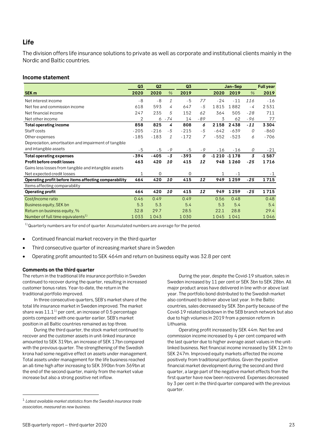# <span id="page-22-0"></span>**Life**

The division offers life insurance solutions to private as well as corporate and institutional clients mainly in the Nordic and Baltic countries.

#### **Income statement**

|                                                       | Q3     | Q <sub>2</sub> |               | Q3     |                |                | Jan-Sep |                | <b>Full year</b> |
|-------------------------------------------------------|--------|----------------|---------------|--------|----------------|----------------|---------|----------------|------------------|
| SEK <sub>m</sub>                                      | 2020   | 2020           | $\frac{0}{6}$ | 2019   |                | 2020           | 2019    | $\frac{0}{6}$  | 2019             |
| Net interest income                                   | - 8    | $-8$           | $\mathbf{1}$  | $-5$   | 77             | $-24$          | $-11$   | 116            | $-16$            |
| Net fee and commission income                         | 618    | 593            | 4             | 647    | $-5$           | 1815           | 1882    | - 4            | 2531             |
| Net financial income                                  | 247    | 235            | 5             | 152    | 62             | 364            | 505     | $-28$          | 711              |
| Net other income                                      | 2      | 6              | $-74$         | 14     | -89            | 3              | 62      | -96            | 77               |
| <b>Total operating income</b>                         | 858    | 825            | 4             | 808    | 6              | 2158           | 2438    | $-11$          | 3304             |
| Staff costs                                           | $-205$ | $-216$         | $-5$          | $-215$ | $-5$           | $-642$         | $-639$  | 0              | $-860$           |
| Other expenses                                        | $-185$ | $-183$         | $\mathcal{I}$ | $-172$ | $\overline{7}$ | $-552$         | $-523$  | 6              | $-706$           |
| Depreciation, amortisation and impairment of tangible |        |                |               |        |                |                |         |                |                  |
| and intangible assets                                 | $-5$   | $-5$           | $-9$          | $-5$   | $-9$           | $-16$          | $-16$   | 0              | $-21$            |
| <b>Total operating expenses</b>                       | -394   | -405           | - 3           | $-393$ | 0              | $-1210 - 1178$ |         | $\overline{3}$ | $-1587$          |
| Profit before credit losses                           | 463    | 420            | 10            | 415    | 12             | 948            | 1260    | $-25$          | 1716             |
| Gains less losses from tangible and intangible assets |        |                |               |        |                |                |         |                |                  |
| Net expected credit losses                            | 1      | $\mathbf 0$    |               | 0      |                |                | $-1$    |                | $-1$             |
| Operating profit before items affecting comparability | 464    | 420            | 10            | 415    | 12             | 949            | 1259    | $-25$          | 1715             |
| Items affecting comparability                         |        |                |               |        |                |                |         |                |                  |
| <b>Operating profit</b>                               | 464    | 420            | 10            | 415    | 12             | 949            | 1259    | -25            | 1715             |
| Cost/Income ratio                                     | 0.46   | 0.49           |               | 0.49   |                | 0.56           | 0.48    |                | 0.48             |
| Business equity, SEK bn                               | 5.3    | 5.3            |               | 5.4    |                | 5.3            | 5.4     |                | 5.4              |
| Return on business equity, %                          | 32.8   | 29.7           |               | 28.5   |                | 22.1           | 28.8    |                | 29.4             |
| Number of full time equivalents <sup>1)</sup>         | 1033   | 1043           |               | 1030   |                | 1045           | 1041    |                | 1046             |

 $1)$ Quarterly numbers are for end of quarter. Accumulated numbers are average for the period.

- Continued financial market recovery in the third quarter
- Third consecutive quarter of increasing market share in Sweden
- Operating profit amounted to SEK 464m and return on business equity was 32.8 per cent

#### **Comments on the third quarter**

The return in the traditional life insurance portfolio in Sweden continued to recover during the quarter, resulting in increased customer bonus rates. Year-to-date, the return in the traditional portfolio improved.

In three consecutive quarters, SEB's market share of the total life insurance market in Sweden improved. The market share was  $11.1<sup>1</sup>$  $11.1<sup>1</sup>$  per cent, an increase of 0.5 percentage points compared with one quarter earlier. SEB's market position in all Baltic countries remained as top three.

During the third quarter, the stock market continued to recover and the customer assets in unit-linked insurance amounted to SEK 319bn, an increase of SEK 17bn compared with the previous quarter. The strengthening of the Swedish krona had some negative effect on assets under management. Total assets under management for the life business reached an all-time high after increasing to SEK 390bn from 369bn at the end of the second quarter, mainly from the market value increase but also a strong positive net inflow.

During the year, despite the Covid-19 situation, sales in Sweden increased by 11 per cent or SEK 3bn to SEK 28bn. All major product areas have delivered in line with or above last year. The portfolio bond distributed to the Swedish market also continued to deliver above last year. In the Baltic countries, sales decreased by SEK 3bn partly because of the Covid-19 related lockdown in the SEB branch network but also due to high volumes in 2019 from a pension reform in Lithuania.

Operating profit increased by SEK 44m. Net fee and commission income increased by 4 per cent compared with the last quarter due to higher average asset values in the unitlinked business. Net financial income increased by SEK 12m to SEK 247m. Improved equity markets affected the income positively from traditional portfolios. Given the positive financial market development during the second and third quarter, a large part of the negative market effects from the first quarter have now been recovered. Expenses decreased by 3 per cent in the third quarter compared with the previous quarter.

<span id="page-22-1"></span> <sup>1</sup> *Latest available market statistics from the Swedish insurance trade association, measured as new business.*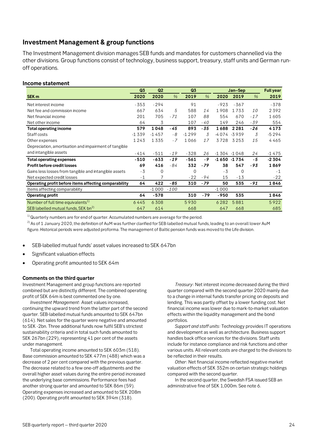# <span id="page-23-0"></span>**Investment Management & group functions**

The Investment Management division manages SEB funds and mandates for customers channelled via the other divisions. Group functions consist of technology, business support, treasury, staff units and German runoff operations.

#### **Income statement**

|                                                       | Q3      | Q2       |               | Q3       |               |         | Jan-Sep        |       | <b>Full year</b> |
|-------------------------------------------------------|---------|----------|---------------|----------|---------------|---------|----------------|-------|------------------|
| SEK <sub>m</sub>                                      | 2020    | 2020     | $\frac{9}{6}$ | 2019     | $\frac{9}{6}$ | 2020    | 2019           | $\%$  | 2019             |
| Net interest income                                   | $-353$  | $-294$   |               | 91       |               | $-923$  | $-367$         |       | $-378$           |
| Net fee and commission income                         | 667     | 634      | 5             | 588      | 14            | 1908    | 1733           | 10    | 2392             |
| Net financial income                                  | 201     | 705      | $-71$         | 107      | 88            | 554     | 670            | $-17$ | 1605             |
| Net other income                                      | 64      | 3        |               | 107      | - 40          | 149     | 246            | -39   | 554              |
| <b>Total operating income</b>                         | 579     | 1048     | - 45          | 893      | -35           | 1688    | 2281           | $-26$ | 4173             |
| Staff costs                                           | $-1339$ | $-1457$  | - 8           | $-1299$  | 3             |         | -4074 -3939    | 3     | $-5294$          |
| Other expenses                                        | 1243    | 1335     | $-7$          | 1066     | 17            | 3728    | 3253           | 15    | 4465             |
| Depreciation, amortisation and impairment of tangible |         |          |               |          |               |         |                |       |                  |
| and intangible assets                                 | -414    | $-511$   | $-19$         | $-328$   | 26            |         | $-1304 - 1048$ | 24    | $-1475$          |
| <b>Total operating expenses</b>                       | $-510$  | $-633$   | $-19$         | $-561$   | - 9           |         | $-1650 - 1734$ | - 5   | $-2304$          |
| Profit before credit losses                           | 69      | 416      | - 84          | 332      | $-79$         | 38      | 547            | $-93$ | 1869             |
| Gains less losses from tangible and intangible assets | $-3$    | $\Omega$ |               | $\Omega$ |               | $-3$    | $\Omega$       |       | $-1$             |
| Net expected credit losses                            | $-1$    | 7        |               | $-22$    | $-94$         | 15      | $-13$          |       | $-22$            |
| Operating profit before items affecting comparability | 64      | 422      | $-85$         | 310      | $-79$         | 50      | 535            | $-91$ | 1846             |
| Items affecting comparability                         |         | $-1000$  | $-100$        |          |               | $-1000$ |                |       |                  |
| Operating profit                                      | 64      | $-578$   |               | 310      | $-79$         | $-950$  | 535            |       | 1846             |
| Number of full time equivalents <sup>1)</sup>         | 6445    | 6308     |               | 5930     |               | 6282    | 5881           |       | 5922             |
| SEB labelled mutual funds, SEK bn <sup>2)</sup>       | 647     | 614      |               | 668      |               | 647     | 668            |       | 685              |

 $1)$ Quarterly numbers are for end of quarter. Accumulated numbers are average for the period.

 $^{2)}$  As of 1 January 2020, the definition of AuM was further clarified for SEB-labelled mutual funds, leading to an overall lower AuM figure. Historical periods were adjusted proforma. The management of Baltic pension funds was moved to the Life division.

- SEB-labelled mutual funds' asset values increased to SEK 647bn
- Significant valuation effects
- Operating profit amounted to SEK 64m

#### **Comments on the third quarter**

Investment Management and group functions are reported combined but are distinctly different. The combined operating profit of SEK 64m is best commented one by one.

*Investment Management*: Asset values increased, continuing the upward trend from the latter part of the second quarter. SEB-labelled mutual funds amounted to SEK 647bn (614). Net sales for the quarter were negative and amounted to SEK -2bn. Three additional funds now fulfil SEB's strictest sustainability criteria and in total such funds amounted to SEK 267bn (229), representing 41 per cent of the assets under management.

Total operating income amounted to SEK 603m (518). Base commission amounted to SEK 477m (488) which was a decrease of 2 per cent compared with the previous quarter. The decrease related to a few one-off adjustments and the overall higher asset values during the entire period increased the underlying base commissions. Performance fees had another strong quarter and amounted to SEK 86m (59). Operating expenses increased and amounted to SEK 208m (200). Operating profit amounted to SEK 394m (318).

*Treasury*: Net interest income decreased during the third quarter compared with the second quarter 2020 mainly due to a change in internal funds transfer pricing on deposits and lending. This was partly offset by a lower funding cost. Net financial income was lower due to mark-to-market valuation effects within the liquidity management and the bond portfolios.

*Support and staff units:* Technology provides IT operations and development as well as architecture. Business support handles back office services for the divisions. Staff units include for instance compliance and risk functions and other various units. All relevant costs are charged to the divisions to be reflected in their results.

*Other*: Net financial income reflected negative market valuation effects of SEK 352m on certain strategic holdings compared with the second quarter.

In the second quarter, the Swedish FSA issued SEB an administrative fine of SEK 1,000m. See note 6.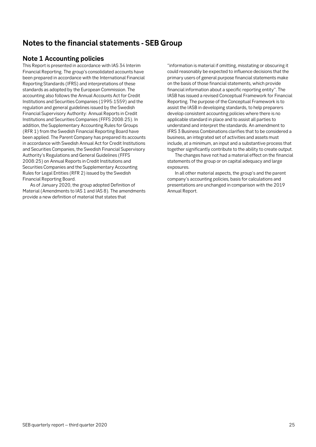# <span id="page-24-0"></span>**Notes to the financial statements - SEB Group**

# <span id="page-24-1"></span>**Note 1 Accounting policies**

This Report is presented in accordance with IAS 34 Interim Financial Reporting. The group's consolidated accounts have been prepared in accordance with the International Financial Reporting Standards (IFRS) and interpretations of these standards as adopted by the European Commission. The accounting also follows the Annual Accounts Act for Credit Institutions and Securities Companies (1995:1559) and the regulation and general guidelines issued by the Swedish Financial Supervisory Authority: Annual Reports in Credit Institutions and Securities Companies (FFFS 2008:25). In addition, the Supplementary Accounting Rules for Groups (RFR 1) from the Swedish Financial Reporting Board have been applied. The Parent Company has prepared its accounts in accordance with Swedish Annual Act for Credit Institutions and Securities Companies, the Swedish Financial Supervisory Authority's Regulations and General Guidelines (FFFS 2008:25) on Annual Reports in Credit Institutions and Securities Companies and the Supplementary Accounting Rules for Legal Entities (RFR 2) issued by the Swedish Financial Reporting Board.

As of January 2020, the group adopted Definition of Material (Amendments to IAS 1 and IAS 8). The amendments provide a new definition of material that states that

"information is material if omitting, misstating or obscuring it could reasonably be expected to influence decisions that the primary users of general purpose financial statements make on the basis of those financial statements, which provide financial information about a specific reporting entity". The IASB has issued a revised Conceptual Framework for Financial Reporting. The purpose of the Conceptual Framework is to assist the IASB in developing standards, to help preparers develop consistent accounting policies where there is no applicable standard in place and to assist all parties to understand and interpret the standards. An amendment to IFRS 3 Business Combinations clarifies that to be considered a business, an integrated set of activities and assets must include, at a minimum, an input and a substantive process that together significantly contribute to the ability to create output.

The changes have not had a material effect on the financial statements of the group or on capital adequacy and large exposures.

In all other material aspects, the group's and the parent company's accounting policies, basis for calculations and presentations are unchanged in comparison with the 2019 Annual Report.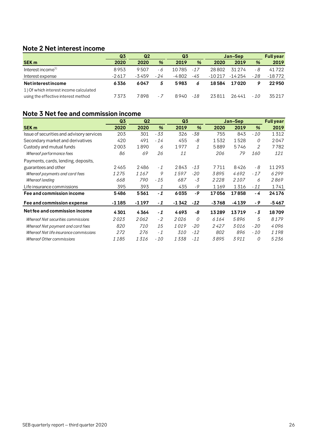# <span id="page-25-0"></span>**Note 2 Net interest income**

|                                                                               | Q3      | Q <sub>2</sub> |      | Q <sub>3</sub> |       | Jan-Sep  |          |       | <b>Full year</b> |
|-------------------------------------------------------------------------------|---------|----------------|------|----------------|-------|----------|----------|-------|------------------|
| <b>SEK m</b>                                                                  | 2020    | 2020           | %    | 2019           | %     | 2020     | 2019     | %     | 2019             |
| Interest income <sup>1)</sup>                                                 | 8953    | 9507           | - 6  | 10785          | $-17$ | 28802    | 31 2 7 4 | - 8   | 41722            |
| Interest expense                                                              | $-2617$ | $-3459$        | - 24 | $-4802$        | -45   | $-10217$ | $-14254$ | $-28$ | $-18772$         |
| <b>Net interest income</b>                                                    | 6336    | 6047           | 5    | 5983           | 6     | 18584    | 17020    |       | 22950            |
| 1) Of which interest income calculated<br>using the effective interest method | 7373    | 7898           | - 7  | 8940           | -18   | 23811    | 26441    | $-10$ | 35217            |

# <span id="page-25-1"></span>**Note 3 Net fee and commission income**

|                                           | Q3      | Q <sub>2</sub> |       | Q <sub>3</sub> |       |         | Jan-Sep |               | <b>Full year</b> |
|-------------------------------------------|---------|----------------|-------|----------------|-------|---------|---------|---------------|------------------|
| <b>SEK m</b>                              | 2020    | 2020           | %     | 2019           | %     | 2020    | 2019    | $\frac{9}{6}$ | 2019             |
| Issue of securities and advisory services | 203     | 301            | - 33  | 326            | $-38$ | 755     | 843     | $-10$         | 1312             |
| Secondary market and derivatives          | 420     | 491            | $-14$ | 455            | -8    | 1532    | 1528    | 0             | 2047             |
| Custody and mutual funds                  | 2003    | 1890           | 6     | 1977           | 1     | 5889    | 5746    | 2             | 7782             |
| Whereof performance fees                  | 86      | 69             | 26    | 11             |       | 206     | 79      | <i>160</i>    | 121              |
| Payments, cards, lending, deposits,       |         |                |       |                |       |         |         |               |                  |
| guarantees and other                      | 2465    | 2486           | $-1$  | 2843           | $-13$ | 7711    | 8426    | - 8           | 11293            |
| Whereof payments and card fees            | 1275    | 1167           | 9     | 1597           | $-20$ | 3895    | 4692    | $-17$         | 6299             |
| Whereof lending                           | 668     | 790            | - 15  | 687            | -3    | 2228    | 2107    | 6             | 2869             |
| Life insurance commissions                | 395     | 393            | 1     | 435            | $-9$  | 1169    | 1316    | $-11$         | 1741             |
| Fee and commission income                 | 5486    | 5561           | $-1$  | 6035           | -9    | 17056   | 17858   | - 4           | 24176            |
| Fee and commission expense                | $-1185$ | -1197          | $-1$  | $-1342$        | $-12$ | $-3768$ | $-4139$ | - 9           | -5467            |
| Net fee and commission income             | 4301    | 4364           | $-1$  | 4693           | -8    | 13289   | 13719   | - 3           | 18709            |
| Whereof Net securities commissions        | 2023    | 2062           | $-2$  | 2026           | 0     | 6164    | 5896    | 5             | 8179             |
| Whereof Net payment and card fees         | 820     | 710            | 15    | 1019           | $-20$ | 2427    | 3016    | $-20$         | 4096             |
| Whereof Net life insurance commissions    | 272     | 276            | $-1$  | 310            | $-12$ | 802     | 896     | - 10          | 1198             |
| Whereof Other commissions                 | 1185    | 1316           | $-10$ | 1338           | $-11$ | 3895    | 3911    | 0             | 5236             |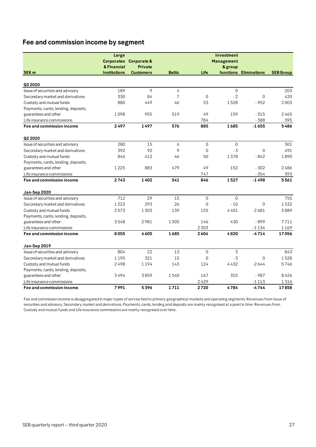# **Fee and commission income by segment**

|                                     | Large               |                        |                |                     | Investment        |                        |                  |
|-------------------------------------|---------------------|------------------------|----------------|---------------------|-------------------|------------------------|------------------|
|                                     |                     | Corporates Corporate & |                |                     | <b>Management</b> |                        |                  |
|                                     | & Financial         | <b>Private</b>         |                |                     | & group           |                        |                  |
| <b>SEK m</b>                        | <b>Institutions</b> | <b>Customers</b>       | <b>Baltic</b>  | Life                |                   | functions Eliminations | <b>SEB Group</b> |
|                                     |                     |                        |                |                     |                   |                        |                  |
| Q3 2020                             |                     |                        |                |                     |                   |                        |                  |
| Issue of securities and advisory    | 189                 | 9                      | $\overline{4}$ |                     | $\mathbf 0$       |                        | 203              |
| Secondary market and derivatives    | 330                 | 84                     | 7              | $\Omega$            | $-2$              | $\Omega$               | 420              |
| Custody and mutual funds            | 880                 | 449                    | 46             | 53                  | 1528              | $-952$                 | 2003             |
| Payments, cards, lending, deposits, |                     |                        |                |                     |                   |                        |                  |
| guarantees and other                | 1098                | 955                    | 519            | 49                  | 159               | $-315$                 | 2465             |
| Life insurance commissions          |                     |                        |                | 784                 |                   | $-388$                 | 395              |
| Fee and commission income           | 2497                | 1497                   | 576            | 885                 | 1685              | $-1655$                | 5486             |
| Q2 2020                             |                     |                        |                |                     |                   |                        |                  |
| Issue of securities and advisory    | 280                 | 15                     | 6              | $\Omega$            | $\Omega$          |                        | 301              |
| Secondary market and derivatives    | 392                 | 92                     | 9              | $\mathbf{0}$        | $-3$              | 0                      | 491              |
| Custody and mutual funds            | 846                 | 412                    | 46             | 50                  | 1378              | $-842$                 | 1890             |
| Payments, cards, lending, deposits, |                     |                        |                |                     |                   |                        |                  |
| guarantees and other                | 1225                | 883                    | 479            | 49                  | 152               | $-302$                 | 2486             |
| Life insurance commissions          |                     |                        |                | 747                 |                   | $-354$                 | 393              |
| Fee and commission income           | 2743                | 1402                   | 541            | 846                 | 1527              | $-1498$                | 5561             |
| Jan-Sep 2020                        |                     |                        |                |                     |                   |                        |                  |
| Issue of securities and advisory    | 712                 | 29                     | 15             | $\mathsf{O}\xspace$ | $\mathbf 0$       |                        | 755              |
| Secondary market and derivatives    | 1223                | 293                    | 26             | $\Omega$            | $-10$             | 0                      | 1532             |
| Custody and mutual funds            | 2573                | 1303                   | 139            | 155                 | 4401              | $-2681$                | 5889             |
| Payments, cards, lending, deposits, |                     |                        |                |                     |                   |                        |                  |
| guarantees and other                | 3548                | 2981                   | 1505           | 146                 | 430               | $-899$                 | 7711             |
| Life insurance commissions          |                     |                        |                | 2303                |                   | $-1134$                | 1169             |
| Fee and commission income           | 8055                | 4605                   | 1685           | 2604                | 4820              | $-4714$                | 17056            |
| Jan-Sep 2019                        |                     |                        |                |                     |                   |                        |                  |
| Issue of securities and advisory    | 804                 | 22                     | 13             | $\mathbf 0$         | 3                 |                        | 843              |
| Secondary market and derivatives    | 1195                | 321                    | 15             | $\Omega$            | $-3$              | $\Omega$               | 1528             |
| Custody and mutual funds            | 2498                | 1194                   | 143            | 124                 | 4432              | $-2644$                | 5746             |
| Payments, cards, lending, deposits, |                     |                        |                |                     |                   |                        |                  |
| guarantees and other                | 3494                | 3859                   | 1540           | 167                 | 353               | $-987$                 | 8426             |
| Life insurance commissions          |                     |                        |                | 2429                |                   | $-1113$                | 1316             |
| Fee and commission income           | 7991                | 5396                   | 1711           | 2720                | 4784              | -4744                  | 17858            |

Fee and commission income is disaggregated in major types of service tied to primary geographical markets and operating segments. Revenues from Issue of securities and advisory, Secondary market and derivatives, Payments, cards, lending and deposits are mainly recognised at a point in time. Revenues from Custody and mutual funds and Life insurance commissions are mainly recognised over time.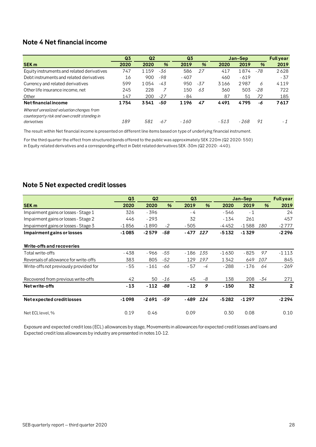# <span id="page-27-0"></span>**Note 4 Net financial income**

|                                              | Q <sub>3</sub> | Q <sub>2</sub> |     | Q <sub>3</sub> |               |       | Jan-Sep |     | <b>Full year</b> |
|----------------------------------------------|----------------|----------------|-----|----------------|---------------|-------|---------|-----|------------------|
| <b>SEK m</b>                                 | 2020           | 2020           | %   | 2019           | $\frac{9}{6}$ | 2020  | 2019    | %   | 2019             |
| Equity instruments and related derivatives   | 747            | 1159           | -36 | 586            | 27            | 417   | 1874    | -78 | 2628             |
| Debt instruments and related derivatives     | 16             | 900            | -98 | $-407$         |               | 460   | $-619$  |     | $-37$            |
| Currency and related derivatives             | 599            | 1054           | -43 | 950            | -37           | 3166  | 2987    | 6   | 4119             |
| Other life insurance income, net             | 245            | 228            |     | 150            | 63            | 360   | 503     | -28 | 722              |
| Other                                        | 147            | 200            | -27 | - 84           |               | 87    | 51      | 72  | 185              |
| Net financial income                         | 1754           | 3541           | -50 | 1196           | 47            | 4491  | 4795    | -6  | 7617             |
| Whereof unrealized valuation changes from    |                |                |     |                |               |       |         |     |                  |
| counterparty risk and own credit standing in |                |                |     |                |               |       |         |     |                  |
| derivatives                                  | 189            | 581            | -67 | - 160          |               | - 513 | - 268   | 91  | - 1              |

The result within Net financial income is presented on different line items based on type of underlying financial instrument.

For the third quarter the effect from structured bonds offered to the public was approximately SEK 220m (Q2 2020: 550) in Equity related derivatives and a corresponding effect in Debt related derivatives SEK -30m (Q2 2020: -440).

# <span id="page-27-1"></span>**Note 5 Net expected credit losses**

|                                        | Q3      | Q <sub>2</sub> |               | Q3     |     |         | Jan-Sep |     | <b>Full year</b> |
|----------------------------------------|---------|----------------|---------------|--------|-----|---------|---------|-----|------------------|
| <b>SEK m</b>                           | 2020    | 2020           | $\frac{9}{6}$ | 2019   | %   | 2020    | 2019    | %   | 2019             |
| Impairment gains or losses - Stage 1   | 326     | - 396          |               | - 4    |     | - 546   | $-1$    |     | 24               |
| Impairment gains or losses - Stage 2   | 446     | $-293$         |               | 32     |     | $-134$  | 261     |     | 457              |
| Impairment gains or losses - Stage 3   | $-1856$ | $-1890$        | $-2$          | $-505$ |     | -4452   | $-1588$ | 180 | $-2777$          |
| Impairment gains or losses             | $-1085$ | $-2579$        | -58           | - 477  | 127 | $-5132$ | $-1329$ |     | $-2296$          |
| Write-offs and recoveries              |         |                |               |        |     |         |         |     |                  |
| Total write-offs                       | - 438   | - 966          | -55           | - 186  | 135 | -1630   | $-825$  | 97  | -1 1 1 3         |
| Reversals of allowance for write-offs  | 383     | 805            | -52           | 129    | 197 | 1342    | 649     | 107 | 845              |
| Write-offs not previously provided for | - 55    | $-161$         | -66           | $-57$  | -4  | $-288$  | $-176$  | 64  | $-269$           |
| Recovered from previous write-offs     | 42      | 50             | -16           | 45     | -8  | 138     | 208     | -34 | 271              |
| Net write-offs                         | $-13$   | $-112$         | -88           | $-12$  | 9   | $-150$  | 32      |     | $\overline{2}$   |
| Net expected credit losses             | $-1098$ | $-2691$        | $-59$         | - 489  | 124 | $-5282$ | $-1297$ |     | $-2294$          |
| Net ECL level, %                       | 0.19    | 0.46           |               | 0.09   |     | 0.30    | 0.08    |     | 0.10             |

Exposure and expected credit loss (ECL) allowances by stage, Movements in allowances for expected credit losses and loans and Expected credit loss allowances by industry are presented in notes 10-12.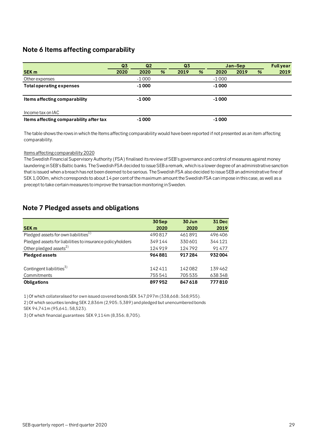# <span id="page-28-0"></span>**Note 6 Items affecting comparability**

|                                         | Q <sub>3</sub> | Q <sub>2</sub> |   | Q3   |   |         | Jan-Sep |   | <b>Fullyear</b> |
|-----------------------------------------|----------------|----------------|---|------|---|---------|---------|---|-----------------|
| <b>SEK m</b>                            | 2020           | 2020           | % | 2019 | % | 2020    | 2019    | % | 2019            |
| Other expenses                          |                | $-1000$        |   |      |   | $-1000$ |         |   |                 |
| <b>Total operating expenses</b>         |                | $-1000$        |   |      |   | $-1000$ |         |   |                 |
|                                         |                |                |   |      |   |         |         |   |                 |
| Items affecting comparability           |                | $-1000$        |   |      |   | $-1000$ |         |   |                 |
|                                         |                |                |   |      |   |         |         |   |                 |
| Income tax on IAC                       |                |                |   |      |   |         |         |   |                 |
| Items affecting comparability after tax |                | -1 000         |   |      |   | -1 000  |         |   |                 |

The table shows the rows in which the Items affecting comparability would have been reported if not presented as an item affecting comparability.

#### Items affecting comparability 2020

The Swedish Financial Supervisory Authority (FSA) finalised its review of SEB's governance and control of measures against money laundering in SEB's Baltic banks. The Swedish FSA decided to issue SEB a remark, which is a lower degree of an administrative sanction that is issued when a breach has not been deemed to be serious. The Swedish FSA also decided to issue SEB an administrative fine of SEK 1,000m, which corresponds to about 14 per cent of the maximum amount the Swedish FSA can impose in this case, as well as a precept to take certain measures to improve the transaction monitoring in Sweden.

# <span id="page-28-1"></span>**Note 7 Pledged assets and obligations**

| 30 Sep | 30 Jun | <b>31 Dec</b> |
|--------|--------|---------------|
| 2020   | 2020   | 2019          |
| 490817 | 461891 | 496406        |
| 349144 | 330601 | 344121        |
| 124919 | 124792 | 91477         |
| 964881 | 917284 | 932004        |
|        |        |               |
| 142411 | 142082 | 139462        |
| 755541 | 705535 | 638348        |
| 897952 | 847618 | 777810        |
|        |        |               |

1) Of which collateralised for own issued covered bonds SEK 347,097m (338,668; 368,955).

2) Of which securities lending SEK 2,836m (2,905; 5,389) and pledged but unencumbered bonds

SEK 94,741m (95,641; 58,523).

3) Of which financial guarantees SEK 9,114m (8,356; 8,705).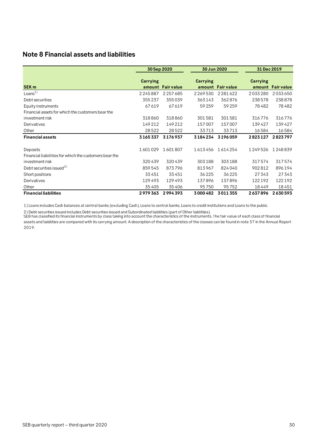# <span id="page-29-0"></span>**Note 8 Financial assets and liabilities**

|                                                                    | 30 Sep 2020     |                   | 30 Jun 2020     |                   | 31 Dec 2019     |                   |  |
|--------------------------------------------------------------------|-----------------|-------------------|-----------------|-------------------|-----------------|-------------------|--|
| <b>SEK m</b>                                                       | <b>Carrying</b> | amount Fair value | <b>Carrying</b> | amount Fair value | <b>Carrying</b> | amount Fair value |  |
| Loans <sup>1</sup>                                                 | 2245887         | 2257685           | 2269530         | 2281622           | 2033280         | 2033650           |  |
| Debt securities                                                    | 355237          | 355039            | 363143          | 362876            | 238578          | 238878            |  |
| Equity instruments                                                 | 67619           | 67619             | 59259           | 59259             | 78482           | 78482             |  |
| Financial assets for which the customers bear the                  |                 |                   |                 |                   |                 |                   |  |
| investment risk                                                    | 318860          | 318860            | 301581          | 301581            | 316776          | 316776            |  |
| Derivatives                                                        | 149212          | 149212            | 157007          | 157007            | 139427          | 139427            |  |
| Other                                                              | 28522           | 28522             | 33713           | 33713             | 16584           | 16584             |  |
| <b>Financial assets</b>                                            | 3165337         | 3176937           | 3184234         | 3196059           | 2823127         | 2823797           |  |
| Deposits<br>Financial liabilities for which the customers bear the | 1601029         | 1601807           | 1613456         | 1614254           | 1249526         | 1248839           |  |
| investment risk                                                    | 320439          | 320439            | 303188          | 303188            | 317574          | 317574            |  |
| Debt securities issued <sup>2)</sup>                               | 859545          | 873796            | 813967          | 824040            | 902812          | 896194            |  |
| Short positions                                                    | 33451           | 33451             | 36225           | 36225             | 27343           | 27343             |  |
| Derivatives                                                        | 129493          | 129493            | 137896          | 137896            | 122192          | 122192            |  |
| Other                                                              | 35405           | 35406             | 95750           | 95752             | 18449           | 18451             |  |
| <b>Financial liabilities</b>                                       | 2979363         | 2994393           | 3000482         | 3011355           | 2637896         | 2630593           |  |

1) Loans includes Cash balances at central banks (excluding Cash), Loans to central banks, Loans to credit institutions and Loans to the public.

2) Debt securities issued includes Debt securities issued and Subordinated liabilities (part of Other liablitiies).

SEB has classified its financial instruments by class taking into account the characteristics of the instruments. The fair value of each class of financial assets and liabilities are compared with its carrying amount. A description of the characteristics of the classes can be found in note 37 in the Annual Report 2019.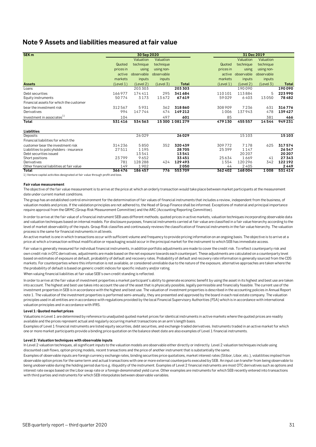# <span id="page-30-0"></span>**Note 9 Assets and liabilities measured at fair value**

| SEK <sub>m</sub>                          |           | 30 Sep 2020 |            |               |            |            | 31 Dec 2019 |              |
|-------------------------------------------|-----------|-------------|------------|---------------|------------|------------|-------------|--------------|
|                                           |           | Valuation   | Valuation  |               |            | Valuation  | Valuation   |              |
|                                           | Quoted    | technique   | technique  |               | Quoted     | technique  | technique   |              |
|                                           | prices in | using       | using non- |               | prices in  | using      | using non-  |              |
|                                           | active    | observable  | observable |               | active     | observable | observable  |              |
|                                           | markets   | inputs      | inputs     |               | markets    | inputs     | inputs      |              |
| <b>Assets</b>                             | (Level 1) | (Level 2)   | (Level 3)  | <b>Total</b>  | (Level 1 ) | (Level 2)  | (Level 3)   | <b>Total</b> |
| Loans                                     |           | 203 303     |            | 203 303       |            | 190090     |             | 190090       |
| Debt securities                           | 166977    | 174411      | 295        | 341684        | 110 101    | 113884     | 5           | 223990       |
| Equity instruments                        | 50774     | 3173        | 13672      | 67619         | 59029      | 6403       | 13050       | 78482        |
| Financial assets for which the customer   |           |             |            |               |            |            |             |              |
| bear the investment risk                  | 312567    | 5931        | 362        | 318860        | 308909     | 7236       | 631         | 316776       |
| Derivatives                               | 994       | 147744      | 474        | 149212        | 1006       | 137943     | 478         | 139427       |
| Investment in associates <sup>1)</sup>    | 104       |             | 497        | 601           | 85         |            | 381         | 466          |
| Total                                     | 531416    | 534563      |            | 15300 1081279 | 479130     | 455557     | 14544       | 949231       |
| Liabilities                               |           |             |            |               |            |            |             |              |
| Deposits                                  |           | 26029       |            | 26029         |            | 15103      |             | 15103        |
| Financial liabilities for which the       |           |             |            |               |            |            |             |              |
| customer bear the investment risk         | 314236    | 5850        | 352        | 320439        | 309772     | 7178       | 625         | 317574       |
| Liabilities to policyholders - insurance  | 27511     | 1195        |            | 28705         | 25399      | 1147       |             | 26547        |
| Debt securities issued                    |           | 13541       |            | 13541         |            | 20 20 7    |             | 20 20 7      |
| Short positions                           | 23799     | 9652        |            | 33451         | 25634      | 1669       | 41          | 27343        |
| Derivatives                               | 781       | 128288      | 424        | 129493        | 1554       | 120296     | 342         | 122192       |
| Other financial liabilities at fair value | 149       | 1902        |            | 2050          | 44         | 2405       |             | 2449         |
| Total                                     | 366476    | 186457      | 776        | 553709        | 362402     | 168004     | 1008        | 531414       |

1) Venture capital activities designated at fair value through profit and loss.

#### **Fair value measurement**

The objective of the fair value measurement is to arrive at the price at which an orderly transaction would take place between market participants at the measurement date under current market conditions.

The group has an established control environment for the determination of fair values of financial instruments that includes a review, independent from the business, of valuation models and prices. If the validation principles are not adhered to, the Head of Group Finance shall be informed. Exceptions of material and principal importance require approval from the GRMC (Group Risk Measurement Committee) and the ARC (Accounting Reporting Committee).

In order to arrive at the fair value of a financial instrument SEB uses different methods; quoted prices in active markets, valuation techniques incorporating observable data and valuation techniques based on internal models. For disclosure purposes, financial instruments carried at fair value are classified in a fair value hierarchy according to the level of market observability of the inputs. Group Risk classifies and continuously reviews the classification of financial instruments in the fair value hierarchy. The valuation process is the same for financial instruments in all levels.

An active market is one in which transactions occur with sufficient volume and frequency to provide pricing information on an ongoing basis. The objective is to arrive at a price at which a transaction without modification or repackaging would occur in the principal market for the instrument to which SEB has immediate access.

Fair value is generally measured for individual financial instruments, in addition portfolio adjustments are made to cover the credit risk. To reflect counterparty risk and own credit risk in OTC derivatives, adjustments are made based on the net exposure towards each counterpart. These adjustments are calculated on a counterparty level based on estimates of exposure at default, probability of default and recovery rates. Probability of default and recovery rate information is generally sourced from the CDS markets. For counterparties where this information is not available, or considered unreliable due to the nature of the exposure, alternative approaches are taken where the the probability of default is based on generic credit indices for specific industry and/or rating.

When valuing financial liabilities at fair value SEB's own credit standing is reflected.

In order to arrive at the fair value of investment properties a market participant's ability to generate economic benefit by using the asset in its highest and best use are taken into account. The highest and best use takes into account the use of the asset that is physically possible, legally permissible and financially feasible. The current use of the investment properties in SEB is in accordance with the highest and best use. The valuation of investment properties is described in the accounting policies in Annual Report note 1. The valuation of the investment properties is performed semi-annually, they are presented and approved by the board in each real estate company. The valuation principles used in all entities are in accordance with regulations provided by the local Financial Supervisory Authorities (FSA) which is in accordance with international valuation principles and in accordance with IFRS.

#### **Level 1: Quoted market prices**

Examples of Level 1 financial instruments are listed equity securities, debt securities, and exchange-traded derivatives. Instruments traded in an active market for which Valuations in Level 1 are determined by reference to unadjusted quoted market prices for identical instruments in active markets where the quoted prices are readily available and the prices represent actual and regularly occurring market transactions on an arm's length basis.

one or more market participants provide a binding price quotation on the balance sheet date are also examples of Level 1 financial instruments.

#### **Level 2: Valuation techniques with observable inputs**

In Level 2 valuation techniques, all significant inputs to the valuation models are observable either directly or indirectly. Level 2 valuation techniques include using discounted cash flows, option pricing models, recent transactions and the price of another instrument that is substantially the same.

Examples of observable inputs are foreign currency exchange rates, binding securities price quotations, market interest rates (Stibor, Libor, etc.), volatilities implied from observable option prices for the same term and actual transactions with one or more external counterparts executed by SEB. An input can transfer from being observable to being unobservable during the holding period due to e.g. illiquidity of the instrument. Examples of Level 2 financial instruments are most OTC derivatives such as options and interest rate swaps based on the Libor swap rate or a foreign-denominated yield curve. Other examples are instruments for which SEB recently entered into transactions with third parties and instruments for which SEB interpolates between observable variables.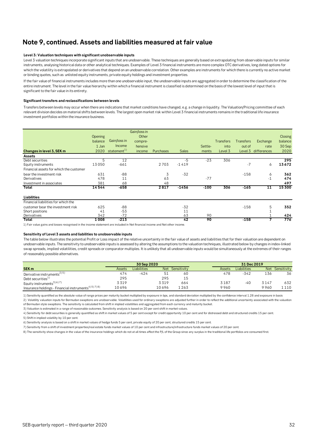# **Note 9, continued. Assets and liabilities measured at fair value**

#### **Level 3: Valuation techniques with significant unobservable inputs**

Level 3 valuation techniques incorporate significant inputs that are unobservable. These techniques are generally based on extrapolating from observable inputs for similar instruments, analysing historical data or other analytical techniques. Examples of Level 3 financial instruments are more complex OTC derivatives, long dated options for which the volatility is extrapolated or derivatives that depend on an unobservable correlation. Other examples are instruments for which there is currently no active market or binding quotes, such as unlisted equity instruments, private equity holdings and investment properties.

If the fair value of financial instruments includes more than one unobservable input, the unobservable inputs are aggregated in order to determine the classification of the entire instrument. The level in the fair value hierarchy within which a financial instrument is classified is determined on the basis of the lowest level of input that is significant to the fair value in its entirety.

#### **Significant transfers and reclassifications between levels**

Transfers between levels may occur when there are indications that market conditions have changed, e.g. a change in liquidity. The Valuation/Pricing committee of each relevant division decides on material shifts between levels. The largest open market risk within Level 3 financial instruments remains in the traditional life insurance investment portfolios within the insurance business.

|                                         |         |                         | Gain/loss in |           |              |         |                  |                  |                     |         |
|-----------------------------------------|---------|-------------------------|--------------|-----------|--------------|---------|------------------|------------------|---------------------|---------|
|                                         | Opening |                         | Other        |           |              |         |                  |                  |                     | Closing |
|                                         | balance | Gain/loss in            | compre-      |           |              |         | <b>Transfers</b> | <b>Transfers</b> | Exchange            | balance |
|                                         | 1 Jan   | Income                  | hensive      |           |              | Settle- | into             | out of           | rate                | 30 Sep  |
| Changes in level 3, SEK m               | 2020    | statement <sup>1)</sup> | income       | Purchases | <b>Sales</b> | ments   | Level 3          |                  | Level 3 differences | 2020    |
| Assets                                  |         |                         |              |           |              |         |                  |                  |                     |         |
| Debt securities                         | 5       | 12                      |              |           | $-5$         | $-23$   | 306              |                  |                     | 295     |
| Equity instruments                      | 13050   | $-661$                  |              | 2703      | $-1419$      |         |                  | $-7$             | 6                   | 13672   |
| Financial assets for which the customer |         |                         |              |           |              |         |                  |                  |                     |         |
| bear the investment risk                | 631     | $-88$                   |              | 3         | $-32$        |         |                  | $-158$           | 6                   | 362     |
| Derivatives                             | 478     | 11                      |              | 63        |              | $-77$   |                  |                  | $-1$                | 474     |
| Investment in associates                | 381     | 68                      |              | 48        |              |         |                  |                  |                     | 497     |
| Total                                   | 14544   | $-658$                  |              | 2817      | $-1456$      | $-100$  | 306              | $-165$           | 11                  | 15 300  |
| Liabilities                             |         |                         |              |           |              |         |                  |                  |                     |         |
| Financial liabilities for which the     |         |                         |              |           |              |         |                  |                  |                     |         |
| customer bear the investment risk       | 625     | $-88$                   |              |           | $-32$        |         |                  | $-158$           | 5                   | 352     |
| Short positions                         | 41      | $-53$                   |              |           | 11           |         |                  |                  |                     |         |
| Derivatives                             | 342     | $-72$                   |              |           | 63           | 90      |                  |                  |                     | 424     |
| Total                                   | 1008    | $-213$                  |              |           | 42           | 90      |                  | $-158$           |                     | 776     |

1) Fair value gains and losses recognised in the income statement are included in Net financial income and Net other income.

#### **Sensitivity of Level 3 assets and liabilities to unobservable inputs**

The table below illustrates the potential Profit or Loss impact of the relative uncertainty in the fair value of assets and liabilities that for their valuation are dependent on unobservable inputs. The sensitivity to unobservable inputs is assessed by altering the assumptions to the valuation techniques, illustrated below by changes in index-linked swap spreads, implied volatilities, credit spreads or comparator multiples. It is unlikely that all unobservable inputs would be simultaneously at the extremes of their ranges of reasonably possible alternatives.

|                                                                   |        | 30 Sep 2020        |            |             |  | 31 Dec 2019 |             |            |             |  |
|-------------------------------------------------------------------|--------|--------------------|------------|-------------|--|-------------|-------------|------------|-------------|--|
| SEK <sub>m</sub>                                                  | Assets | <b>Liabilities</b> | <b>Net</b> | Sensitivity |  | Assets      | Liabilities | <b>Net</b> | Sensitivity |  |
| Derivative instruments <sup>2) 5)</sup>                           | 474    | $-424$             | 51         | 60          |  | 478         | $-342$      | 136        | 36          |  |
| Debt securities <sup>1)</sup>                                     | 295    |                    | 295        | 15          |  |             |             |            |             |  |
| Equity instruments <sup>3)6)7)</sup>                              | 3319   |                    | 3319       | 664         |  | 3187        | -40         | 3147       | 632         |  |
| Insurance holdings - Financial instruments <sup>4) 5) 7) 8)</sup> | 10696  |                    | 10696      | 263         |  | 9960        |             | 9960       | 1 1 1 0     |  |

1) Sensitivity quantified as the absolute value of range prices per maturity bucket multiplied by exposure in bps, and standard deviation multiplied by the confidence interval 1.28 and exposure in basis

2) Volatility valuation inputs for Bermudan swaptions are unobservable. Volatilities used for ordinary swaptions are adjusted further in order to reflect the additional uncertainty associated with the valuation of Bermudan style swaptions. The sensitivity is calculated from shift in implied volatilities and aggregated from each currency and maturity bucket.

3) Valuation is estimated in a range of reasonable outcomes. Sensitivity analysis is based on 20 per cent shift in market values.

5) Shift in implied volatility by 10 per cent. 4) Sensitivity for debt securities is generally quantified as shift in market values of 5 per cent except for credit opportunity 10 per cent and for distressed debt and structured credits 15 per cent.

6) Sensitivity analysis is based on a shift in market values of hedge funds 5 per cent, private equity of 20 per cent, structured credits 15 per cent.

7) Sensitivity from a shift of investment properties/real estate funds market values of 10 per cent and infrastructure/infrastructure funds market values of 20 per cent.

8) The sensitivity show changes in the value of the insurance holdings which do not at all times affect the P/L of the Group since any surplus in the traditional life portfolios are consumed first.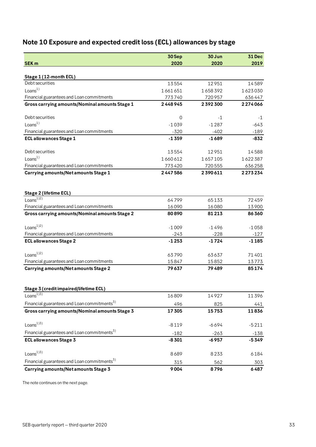# <span id="page-32-0"></span>**Note 10 Exposure and expected credit loss (ECL) allowances by stage**

|                                                                      | 30Sep   | 30 Jun  | <b>31 Dec</b> |
|----------------------------------------------------------------------|---------|---------|---------------|
| <b>SEK m</b>                                                         | 2020    | 2020    | 2019          |
| Stage 1 (12-month ECL)                                               |         |         |               |
| Debt securities                                                      | 13554   | 12951   | 14589         |
| Loans <sup>1</sup>                                                   | 1661651 | 1658392 | 1623030       |
| Financial guarantees and Loan commitments                            | 773740  | 720957  | 636447        |
| Gross carrying amounts/Nominal amounts Stage 1                       | 2448945 | 2392300 | 2274066       |
| Debt securities                                                      | 0       | -1      | -1            |
| Loans <sup>1</sup>                                                   | $-1039$ | $-1287$ | $-643$        |
| Financial guarantees and Loan commitments                            | $-320$  | $-402$  | $-189$        |
| <b>ECL allowances Stage 1</b>                                        | $-1359$ | $-1689$ | $-832$        |
| Debt securities                                                      | 13554   | 12951   | 14588         |
| Loans <sup>1</sup>                                                   | 1660612 | 1657105 | 1622387       |
| Financial guarantees and Loan commitments                            | 773420  | 720555  | 636258        |
| Carrying amounts/Net amounts Stage 1                                 | 2447586 | 2390611 | 2273234       |
|                                                                      |         |         |               |
| Stage 2 (lifetime ECL)                                               |         |         |               |
| Loans $1\overline{)2)}$                                              | 64799   | 65133   | 72459         |
| Financial guarantees and Loan commitments                            | 16090   | 16080   | 13900         |
| Gross carrying amounts/Nominal amounts Stage 2                       | 80890   | 81213   | 86360         |
| Loans <sup>1/2</sup>                                                 | $-1009$ | $-1496$ | $-1058$       |
| Financial guarantees and Loan commitments                            | $-243$  | $-228$  | $-127$        |
| <b>ECL allowances Stage 2</b>                                        | $-1253$ | $-1724$ | $-1185$       |
| Loans $^{1/2)}$                                                      | 63790   | 63637   | 71401         |
| Financial guarantees and Loan commitments                            | 15847   | 15852   | 13773         |
| Carrying amounts/Net amounts Stage 2                                 | 79637   | 79489   | 85174         |
|                                                                      |         |         |               |
| Stage 3 (credit impaired/lifetime ECL)<br>Loans $\overline{^{1)3)}}$ |         |         |               |
|                                                                      | 16809   | 14927   | 11396         |
| Financial guarantees and Loan commitments <sup>3)</sup>              | 496     | 825     | 441           |
| Gross carrying amounts/Nominal amounts Stage 3                       | 17305   | 15753   | 11836         |
| Loans $^{13)}$                                                       | $-8119$ | $-6694$ | $-5211$       |
| Financial guarantees and Loan commitments <sup>3)</sup>              | $-182$  | $-263$  | $-138$        |
| <b>ECL allowances Stage 3</b>                                        | $-8301$ | $-6957$ | $-5349$       |
| Loans $^{13}$                                                        | 8689    | 8233    | 6184          |
| Financial guarantees and Loan commitments <sup>3)</sup>              | 315     | 562     | 303           |
| Carrying amounts/Net amounts Stage 3                                 | 9004    | 8796    | 6487          |

The note continues on the next page.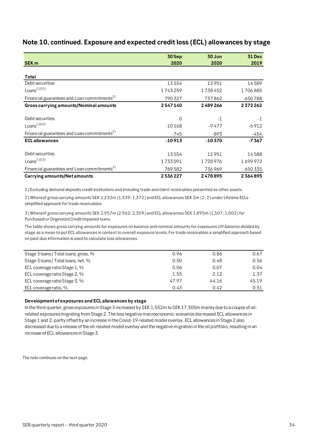|                                                         | 30 Sep   | 30 Jun   | <b>31 Dec</b> |
|---------------------------------------------------------|----------|----------|---------------|
| <b>SEK m</b>                                            | 2020     | 2020     | 2019          |
|                                                         |          |          |               |
| Total                                                   |          |          |               |
| Debt securities                                         | 13554    | 12951    | 14589         |
| Loans <sup>1/2/3</sup>                                  | 1743259  | 1738452  | 1706885       |
| Financial guarantees and Loan commitments <sup>3)</sup> | 790327   | 737862   | 650788        |
| Gross carrying amounts/Nominal amounts                  | 2547140  | 2489266  | 2372262       |
| Debt securities                                         | 0        | $-1$     | $-1$          |
| Loans <sup>1)2)3)</sup>                                 | $-10168$ | $-9477$  | $-6912$       |
| Financial guarantees and Loan commitments <sup>5)</sup> | -745     | $-893$   | -454          |
| <b>ECL allowances</b>                                   | $-10913$ | $-10370$ | $-7367$       |
| Debt securities                                         | 13554    | 12951    | 14588         |
| Loans <sup>1</sup> (2)3)                                | 1733091  | 1728976  | 1699972       |
| Financial guarantees and Loan commitments <sup>3)</sup> | 789582   | 736969   | 650 335       |
| <b>Carrying amounts/Net amounts</b>                     | 2536227  | 2478895  | 2364895       |

# **Note 10, continued. Exposure and expected credit loss (ECL) allowances by stage**

1) Excluding demand deposits credit institutions and including trade and client receivables presented as other assets.

2) Whereof gross carrying amounts SEK 1,232m (1,339; 1,372) and ECL allowances SEK 2m (2; 2) under Lifetime ECLs simplified approach for trade receivables.

3) Whereof gross carrying amounts SEK 2,957m (2,962; 2,309) and ECL allowances SEK 1,895m (1,507; 1,002) for Purchased or Originated Credit Impaired loans.

The table shows gross carrying amounts for exposures on balance and nominal amounts for exposures off-balance divided by stage as a mean to put ECL allowances in context to overall exposure levels. For trade receivables a simplified approach based on past-due information is used to calculate loss allowances.

| 0.96  | 0.86  | 0.67  |
|-------|-------|-------|
| 0.50  | 0.48  | 0.36  |
| 0.06  | 0.07  | 0.04  |
| 1.55  | 2.12  | 1.37  |
| 47.97 | 44.16 | 45.19 |
| 0.43  | 0.42  | 0.31  |
|       |       |       |

#### **Development of exposures and ECL allowances by stage**

In the third quarter, gross exposures in Stage 3 increased by SEK 1,552m to SEK 17,305m mainly due to a couple of oilrelated exposures migrating from Stage 2. The less negative macroeconomic scenarios decreased ECL allowances in Stage 1 and 2, partly offset by an increase in the Covid-19-related model overlay. ECL allowances in Stage 2 also decreased due to a release of the oil-related model overlay and the negative migration in the oil portfolio, resulting in an increase of ECL allowances in Stage 3.

The note continues on the next page.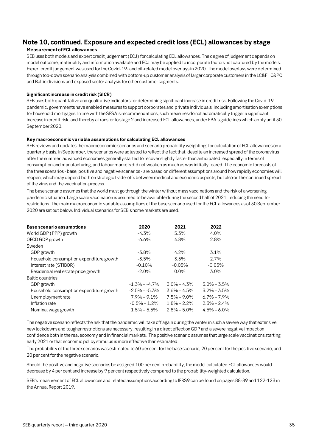# **Note 10, continued. Exposure and expected credit loss (ECL) allowances by stage**

#### **Measurement of ECL allowances**

SEB uses both models and expert credit judgement (ECJ) for calculating ECL allowances. The degree of judgement depends on model outcome, materiality and information available and ECJ may be applied to incorporate factors not captured by the models. Expert credit judgement was used for the Covid-19- and oil-related model overlays in 2020. The model overlays were determined through top-down scenario analysis combined with bottom-up customer analysis of larger corporate customers in the LC&FI, C&PC and Baltic divisions and exposed sector analysis for other customer segments.

#### **Significant increase in credit risk (SICR)**

SEB uses both quantitative and qualitative indicators for determining significant increase in credit risk. Following the Covid-19 pandemic, governments have enabled measures to support corporates and private individuals, including amortisation exemptions for household mortgages. In line with the SFSA's recommendations, such measures do not automatically trigger a significant increase in credit risk, and thereby a transfer to stage 2 and increased ECL allowances, under EBA's guidelines which apply until 30 September 2020.

#### **Key macroeconomic variable assumptions for calculating ECL allowances**

SEB reviews and updates the macroeconomic scenarios and scenario probability weightings for calculation of ECL allowances on a quarterly basis. In September, the scenarios were adjusted to reflect the fact that, despite an increased spread of the coronavirus after the summer, advanced economies generally started to recover slightly faster than anticipated, especially in terms of consumption and manufacturing, and labour markets did not weaken as much as was initially feared. The economic forecasts of the three scenarios - base, positive and negative scenarios - are based on different assumptions around how rapidly economies will reopen, which may depend both on strategic trade-offs between medical and economic aspects, but also on the continued spread of the virus and the vaccination process.

The base scenario assumes that the world must go through the winter without mass vaccinations and the risk of a worsening pandemic situation. Large scale vaccination is assumed to be available during the second half of 2021, reducing the need for restrictions. The main macroeconomic variable assumptions of the base scenario used for the ECL allowances as of 30 September 2020 are set out below. Individual scenarios for SEB's home markets are used.

| <b>Base scenario assumptions</b>         | 2020             | 2021            | 2022            |
|------------------------------------------|------------------|-----------------|-----------------|
| World GDP (PPP) growth                   | $-4.3%$          | 5.3%            | $4.0\%$         |
| OECD GDP growth                          | $-6.6%$          | 4.8%            | 2.8%            |
| Sweden                                   |                  |                 |                 |
| GDP growth                               | $-3.8%$          | 4.2%            | 3.1%            |
| Household consumption expenditure growth | -3.5%            | 3.5%            | 2.7%            |
| Interest rate (STIBOR)                   | $-0.10%$         | $-0.05%$        | $-0.05%$        |
| Residential real estate price growth     | $-2.0%$          | $0.0\%$         | $3.0\%$         |
| Baltic countries                         |                  |                 |                 |
| GDP growth                               | $-1.3\% - 4.7\%$ | $3.0\% - 4.3\%$ | $3.0\% - 3.5\%$ |
| Household consumption expenditure growth | $-2.5\% - 5.3\%$ | $3.6\% - 4.5\%$ | $3.2\% - 3.5\%$ |
| Unemployment rate                        | $7.9\% - 9.1\%$  | $7.5\% - 9.0\%$ | $6.7\% - 7.9\%$ |
| Inflation rate                           | $-0.5\% - 1.2\%$ | $1.8\% - 2.2\%$ | $2.3\% - 2.4\%$ |
| Nominal wage growth                      | $1.5\% - 5.5\%$  | $2.8\% - 5.0\%$ | $4.5\% - 6.0\%$ |

The negative scenario reflects the risk that the pandemic will take off again during the winter in such a severe way that extensive new lockdowns and tougher restrictions are necessary, resulting in a direct effect on GDP and a severe negative impact on confidence both in the real economy and in financial markets. The positive scenario assumes that large scale vaccinations starting early 2021 or that economic policy stimulus is more effective than estimated.

The probability of the three scenarios was estimated to 60 per cent for the base scenario, 20 per cent for the positive scenario, and 20 per cent for the negative scenario.

Should the positive and negative scenarios be assigned 100 per cent probability, the model calculated ECL allowances would decrease by 4 per cent and increase by 9 per cent respectively compared to the probability-weighted calculation.

SEB's measurement of ECL allowances and related assumptions according to IFRS9 can be found on pages 88-89 and 122-123 in the Annual Report 2019.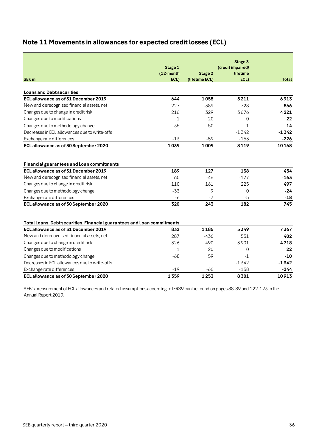# <span id="page-35-0"></span>**Note 11 Movements in allowances for expected credit losses (ECL)**

|                                                                                                                 | Stage 1      |                | Stage 3<br>(credit impaired/ |         |
|-----------------------------------------------------------------------------------------------------------------|--------------|----------------|------------------------------|---------|
|                                                                                                                 | $(12$ -month | <b>Stage 2</b> | lifetime                     |         |
| <b>SEK m</b>                                                                                                    | ECL)         | (lifetime ECL) | ECL)                         | Total   |
|                                                                                                                 |              |                |                              |         |
| <b>Loans and Debt securities</b>                                                                                |              |                |                              |         |
| ECL allowance as of 31 December 2019                                                                            | 644          | 1058           | 5211                         | 6913    |
| New and derecognised financial assets, net                                                                      | 227          | $-389$         | 728                          | 566     |
| Changes due to change in credit risk                                                                            | 216          | 329            | 3676                         | 4221    |
| Changes due to modifications                                                                                    | $\mathbf{1}$ | 20             | 0                            | 22      |
| Changes due to methodology change                                                                               | $-35$        | 50             | $-1$                         | 14      |
| Decreases in ECL allowances due to write-offs                                                                   |              |                | $-1342$                      | $-1342$ |
| Exchange rate differences                                                                                       | $-13$        | $-59$          | $-153$                       | -226    |
| ECL allowance as of 30 September 2020                                                                           | 1039         | 1009           | 8119                         | 10168   |
|                                                                                                                 |              |                |                              |         |
|                                                                                                                 |              |                |                              |         |
| <b>Financial guarantees and Loan commitments</b>                                                                |              |                |                              |         |
| ECL allowance as of 31 December 2019                                                                            | 189          | 127            | 138                          | 454     |
| New and derecognised financial assets, net                                                                      | 60           | $-46$          | $-177$                       | $-163$  |
| Changes due to change in credit risk                                                                            | 110          | 161            | 225                          | 497     |
| Changes due to methodology change                                                                               | $-33$        | 9              | $\Omega$                     | $-24$   |
| Exchange rate differences                                                                                       | -6           | $-7$           | $-5$                         | $-18$   |
| ECL allowance as of 30 September 2020                                                                           | 320          | 243            | 182                          | 745     |
|                                                                                                                 |              |                |                              |         |
|                                                                                                                 |              |                |                              |         |
| Total Loans, Debt securities, Financial guarantees and Loan commitments<br>ECL allowance as of 31 December 2019 | 832          | 1185           | 5349                         | 7367    |
| New and derecognised financial assets, net                                                                      | 287          | $-436$         | 551                          | 402     |
| Changes due to change in credit risk                                                                            | 326          | 490            | 3901                         | 4718    |
| Changes due to modifications                                                                                    | $\mathbf{1}$ | 20             |                              | 22      |
|                                                                                                                 | $-68$        |                | 0<br>$-1$                    | $-10$   |
| Changes due to methodology change                                                                               |              | 59             |                              |         |
| Decreases in ECL allowances due to write-offs                                                                   |              |                | $-1342$                      | $-1342$ |
| Exchange rate differences                                                                                       | $-19$        | $-66$          | $-158$                       | -244    |
| ECL allowance as of 30 September 2020                                                                           | 1359         | 1253           | 8301                         | 10913   |

SEB's measurement of ECL allowances and related assumptions according to IFRS9 can be found on pages 88-89 and 122-123 in the Annual Report 2019.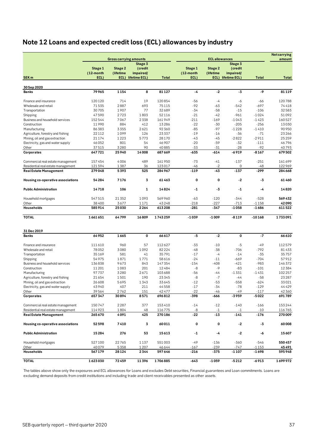# <span id="page-36-0"></span>**Note 12 Loans and expected credit loss (ECL) allowances by industry**

|                                    |                   |                               |                                 |              |                   |                       |                                 |              | <b>Net carrying</b> |
|------------------------------------|-------------------|-------------------------------|---------------------------------|--------------|-------------------|-----------------------|---------------------------------|--------------|---------------------|
|                                    |                   | <b>Gross carrying amounts</b> |                                 |              |                   | <b>ECL allowances</b> |                                 |              | amount              |
|                                    |                   |                               | Stage 3                         |              |                   |                       | Stage 3                         |              |                     |
|                                    | Stage 1           | Stage 2                       | (credit                         |              | Stage 1           | Stage 2               | (credit                         |              |                     |
| SEK <sub>m</sub>                   | (12-month<br>ECL) | (lifetime                     | impaired/<br>ECL) lifetime ECL) | <b>Total</b> | (12-month<br>ECL) | (lifetime             | impaired/<br>ECL) lifetime ECL) | <b>Total</b> | <b>Total</b>        |
|                                    |                   |                               |                                 |              |                   |                       |                                 |              |                     |
| 30 Sep 2020                        |                   |                               |                                 |              |                   |                       |                                 |              |                     |
| <b>Banks</b>                       | 79965             | 1154                          | 8                               | 81127        | -4                | $-2$                  | -3                              | -9           | 81119               |
| Finance and insurance              | 120120            | 714                           | 19                              | 120854       | $-56$             | $-4$                  | -6                              | -66          | 120788              |
| Wholesale and retail               | 71535             | 2887                          | 693                             | 75115        | $-92$             | $-63$                 | $-542$                          | $-697$       | 74418               |
| Transportation                     | 30705             | 1907                          | 77                              | 32689        | $-34$             | $-58$                 | $-15$                           | $-106$       | 32583               |
| Shipping                           | 47590             | 2723                          | 1803                            | 52116        | $-21$             | $-42$                 | $-961$                          | $-1024$      | 51092               |
| Business and household services    | 152544            | 7067                          | 2338                            | 161949       | $-211$            | $-169$                | $-1043$                         | $-1423$      | 160527              |
| Construction                       | 11990             | 884                           | 412                             | 13286        | $-22$             | $-30$                 | $-205$                          | $-256$       | 13030               |
| Manufacturing                      | 86383             | 3355                          | 2621                            | 92360        | $-85$             | $-97$                 | $-1228$                         | $-1410$      | 90950               |
| Agriculture, forestry and fishing  | 22112             | 1099                          | 126                             | 23337        | $-19$             | $-16$                 | $-36$                           | $-71$        | 23 26 6             |
|                                    | 21174             | 1223                          | 5773                            | 28170        | $-43$             | $-45$                 | $-2822$                         | $-2911$      | 25 2 5 9            |
| Mining, oil and gas extraction     |                   |                               |                                 |              | $-20$             |                       |                                 |              |                     |
| Electricity, gas and water supply  | 46052             | 801                           | 54                              | 46 907       |                   | $-59$                 | $-32$                           | $-111$       | 46796               |
| Other                              | 37515             | 3280                          | 90                              | 40885        | $-33$             | $-31$                 | $-28$                           | $-92$        | 40793               |
| Corporates                         | 647721            | 25940                         | 14008                           | 687669       | -635              | $-614$                | $-6919$                         | $-8167$      | 679502              |
| Commercial real estate management  | 157454            | 4006                          | 489                             | 161950       | $-73$             | $-41$                 | $-137$                          | $-251$       | 161699              |
| Residential real estate management | 121594            | 1387                          | 36                              | 123017       | $-46$             | $-2$                  | 0                               | $-48$        | 122969              |
| <b>Real Estate Management</b>      | 279048            | 5393                          | 525                             | 284967       | $-119$            | $-43$                 | $-137$                          | -299         | 284 668             |
| Housing co-operative associations  | 54 284            | 7176                          | 3                               | 61463        | 0                 | 0                     | $-2$                            | -3           | 61460               |
| <b>Public Administration</b>       | 14718             | 106                           | 1                               | 14824        | $-1$              | -3                    | -1                              | -4           | 14820               |
|                                    |                   |                               |                                 |              |                   |                       |                                 |              |                     |
| Household mortgages                | 547515            | 21352                         | 1093                            | 569960       | $-63$             | $-120$                | $-344$                          | $-528$       | 569432              |
| Other                              | 38400             | 3677                          | 1171                            | 43248        | $-218$            | $-227$                | $-713$                          | $-1158$      | 42090               |
| Households                         | 585914            | 25030                         | 2264                            | 613208       | $-281$            | -347                  | $-1058$                         | $-1686$      | 611522              |
| <b>TOTAL</b>                       | 1661651           | 64799                         | 16809                           | 1743259      | $-1039$           | $-1009$               | -8119                           | $-10168$     | 1733091             |
| 31 Dec 2019                        |                   |                               |                                 |              |                   |                       |                                 |              |                     |
| <b>Banks</b>                       | 64952             | 1665                          | 0                               | 66617        | $-5$              | $-2$                  | 0                               | $-7$         | 66610               |
|                                    |                   |                               |                                 |              |                   |                       |                                 |              |                     |
| Finance and insurance              | 111610            | 960                           | 57                              | 112627       | $-33$             | $-10$                 | $-5$                            | $-49$        | 112579              |
| Wholesale and retail               | 78052             | 3080                          | 1092                            | 82224        | $-48$             | $-38$                 | $-706$                          | $-792$       | 81433               |
| Transportation                     | 35169             | 581                           | 41                              | 35791        | $-17$             | $-4$                  | $-14$                           | $-35$        | 35757               |
| Shipping                           | 54975             | 1871                          | 1771                            | 58616        | $-24$             | $-11$                 | $-669$                          | $-704$       | 57912               |
| Business and household services    | 136838            | 9673                          | 843                             | 147 354      | $-154$            | $-408$                | $-421$                          | $-983$       | 146372              |
| Construction                       | 11 201            | 1083                          | 201                             | 12484        | $-8$              | $-9$                  | $-83$                           | $-101$       | 12384               |
| Manufacturing                      | 97737             | 3280                          | 2671                            | 103688       | $-56$             | -44                   | $-1331$                         | $-1431$      | 102 257             |
| Agriculture, forestry and fishing  | 21 654            | 1501                          | 190                             | 23345        | $-8$              | $-7$                  | $-44$                           | $-58$        | 23 2 8 7            |
| Mining, oil and gas extraction     | 26 608            | 5695                          | 1343                            | 33645        | $-12$             | $-53$                 | $-558$                          | $-624$       | 33021               |
| Electricity, gas and water supply  | 43940             | 407                           | 211                             | 44558        | $-17$             | $-34$                 | $-78$                           | $-129$       | 44429               |
| Other                              | 39564             | 2762                          | 151                             | 42477        | $-22$             | -46                   | -49                             | $-117$       | 42360               |
| Corporates                         | 657347            | 30894                         | 8571                            | 696812       | -398              | -666                  | -3959                           | -5022        | 691789              |
| Commercial real estate management  | 150747            | 2287                          | 377                             | 153410       | $-14$             | $-12$                 | $-140$                          | $-166$       | 153244              |
| Residential real estate management | 114923            | 1804                          | 48                              | 116775       | -8                | $-1$                  | $-1$                            | $-10$        | 116765              |
| <b>Real Estate Management</b>      | 265670            | 4091                          | 425                             | 270186       | -22               | $-13$                 | $-141$                          | $-176$       | 270009              |
| Housing co-operative associations  | 52598             | 7410                          | 3                               | 60011        | 0                 | 0                     | $-2$                            | -3           | 60008               |
| <b>Public Administration</b>       | 15284             | 276                           | 53                              | 15613        | $-1$              | -4                    | $-2$                            | -6           | 15607               |
|                                    |                   |                               |                                 |              |                   |                       |                                 |              |                     |
| Household mortgages                | 527100            | 22765                         | 1137                            | 551003       | $-49$             | $-136$                | $-360$                          | $-546$       | 550457              |
| Other                              | 40079             | 5358                          | 1207                            | 46644        | $-167$            | $-239$                | $-747$                          | $-1153$      | 45491               |
| Households                         | 567 179           | 28124                         | 2344                            | 597646       | -216              | $-375$                | -1 107                          | -1698        | 595948              |
| <b>TOTAL</b>                       | 1623030           | 72459                         | 11396                           | 1706885      | $-643$            | $-1059$               | $-5212$                         | $-6913$      | 1699972             |

The tables above show only the exposures and ECL allowances for Loans and excludes Debt securities, Financial guarantees and Loan commitments. Loans are excluding demand deposits from credit institutions and including trade and client receivables presented as other assets.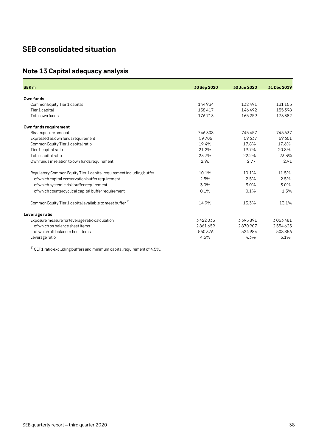# <span id="page-37-0"></span>**SEB consolidated situation**

# <span id="page-37-1"></span>**Note 13 Capital adequacy analysis**

| <b>SEK m</b>                                                         | 30 Sep 2020 | 30 Jun 2020 | 31 Dec 2019 |
|----------------------------------------------------------------------|-------------|-------------|-------------|
| Own funds                                                            |             |             |             |
| Common Equity Tier 1 capital                                         | 144934      | 132491      | 131155      |
| Tier 1 capital                                                       | 158417      | 146492      | 155398      |
| Total own funds                                                      | 176713      | 165259      | 173382      |
| Own funds requirement                                                |             |             |             |
| Risk exposure amount                                                 | 746308      | 745457      | 745637      |
| Expressed as own funds requirement                                   | 59705       | 59637       | 59651       |
| Common Equity Tier 1 capital ratio                                   | 19.4%       | 17.8%       | 17.6%       |
| Tier 1 capital ratio                                                 | 21.2%       | 19.7%       | 20.8%       |
| Total capital ratio                                                  | 23.7%       | 22.2%       | 23.3%       |
| Own funds in relation to own funds requirement                       | 2.96        | 2.77        | 2.91        |
| Regulatory Common Equity Tier 1 capital requirement including buffer | 10.1%       | 10.1%       | 11.5%       |
| of which capital conservation buffer requirement                     | 2.5%        | 2.5%        | 2.5%        |
| of which systemic risk buffer requirement                            | 3.0%        | 3.0%        | 3.0%        |
| of which countercyclical capital buffer requirement                  | 0.1%        | 0.1%        | 1.5%        |
| Common Equity Tier 1 capital available to meet buffer <sup>1)</sup>  | 14.9%       | 13.3%       | 13.1%       |
| Leverage ratio                                                       |             |             |             |
| Exposure measure for leverage ratio calculation                      | 3422035     | 3395891     | 3063481     |
| of which on balance sheet items                                      | 2861659     | 2870907     | 2554625     |
| of which off balance sheet items                                     | 560376      | 524984      | 508856      |
| Leverage ratio                                                       | 4.6%        | 4.3%        | 5.1%        |

 $^{\,1)}$  CET1 ratio excluding buffers and minimum capital requirement of 4.5%.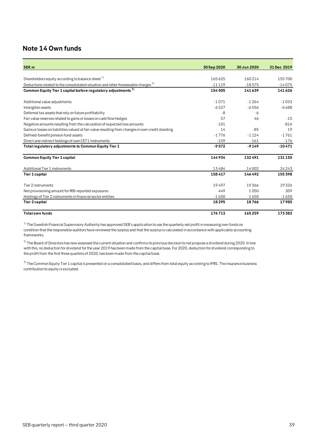# <span id="page-38-0"></span>**Note 14 Own funds**

| SEK <sub>m</sub>                                                                                  | 30 Sep 2020 | 30 Jun 2020 | 31 Dec 2019 |
|---------------------------------------------------------------------------------------------------|-------------|-------------|-------------|
|                                                                                                   |             |             |             |
| Shareholders equity according to balance sheet $1$ )                                              | 165625      | 160214      | 155700      |
| Deductions related to the consolidated situation and other foreseeable charges <sup>2)</sup>      | $-11119$    | $-18575$    | $-14075$    |
| Common Equity Tier 1 capital before regulatory adjustments <sup>3)</sup>                          | 154505      | 141639      | 141626      |
| Additional value adjustments                                                                      | $-1071$     | $-1264$     | $-1033$     |
| Intangible assets                                                                                 | $-6527$     | $-6556$     | $-6688$     |
| Deferred tax assets that rely on future profitability                                             | -8          | -6          |             |
| Fair value reserves related to gains or losses on cash flow hedges                                | 57          | 46          | $-15$       |
| Negative amounts resulting from the calculation of expected loss amounts                          | $-101$      |             | $-816$      |
| Gains or losses on liabilities valued at fair value resulting from changes in own credit standing | 14          | $-85$       | 19          |
| Defined-benefit pension fund assets                                                               | $-1776$     | $-1124$     | $-1761$     |
| Direct and indirect holdings of own CET1 instruments                                              | $-159$      | $-161$      | $-176$      |
| Total regulatory adjustments to Common Equity Tier 1                                              | $-9572$     | $-9149$     | $-10471$    |
| <b>Common Equity Tier 1 capital</b>                                                               | 144934      | 132491      | 131155      |
| Additional Tier 1 instruments                                                                     | 13484       | 14002       | 24243       |
| <b>Tier 1 capital</b>                                                                             | 158417      | 146492      | 155398      |
| Tier 2 instruments                                                                                | 19497       | 19366       | 19326       |
| Net provisioning amount for IRB-reported exposures                                                | 449         | 1050        | 309         |
| Holdings of Tier 2 instruments in financial sector entities                                       | $-1650$     | $-1650$     | $-1650$     |
| <b>Tier 2 capital</b>                                                                             | 18295       | 18766       | 17985       |
| <b>Total own funds</b>                                                                            | 176713      | 165259      | 173382      |

 $1)$  The Swedish Financial Supervisory Authority has approved SEB's application to use the quarterly net profit in measuring own funds on condition that the responsible auditors have reviewed the surplus and that the surplus is calculated in accordance with applicable accounting frameworks.

 $^{2)}$  The Board of Directors has now assessed the current situation and confirms its previous decision to not propose a dividend during 2020. In line with this, no deduction for dividend for the year 2019 has been made from the capital base. For 2020, deduction for dividend corresponding to the profit from the first three quarters of 2020, has been made from the capital base.

<sup>3)</sup> The Common Equity Tier 1 capital is presented on a consolidated basis, and differs from total equity according to IFRS. The insurance business contribution to equity is excluded.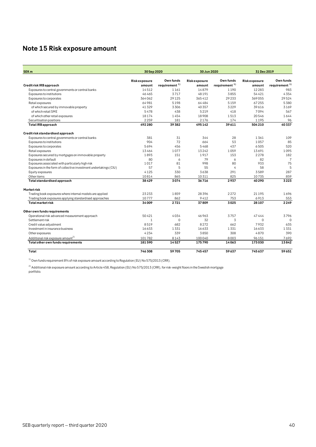# <span id="page-39-0"></span>**Note 15 Risk exposure amount**

| SEK <sub>m</sub>                                                  | 30 Sep 2020         |                           | 30 Jun 2020         |                           | 31 Dec 2019         |                  |  |
|-------------------------------------------------------------------|---------------------|---------------------------|---------------------|---------------------------|---------------------|------------------|--|
|                                                                   | <b>Riskexposure</b> | Own funds                 | <b>Riskexposure</b> | Own funds                 | <b>Riskexposure</b> | Own funds        |  |
| Credit risk IRB approach                                          | amount              | requirement <sup>1)</sup> | amount              | requirement <sup>1)</sup> | amount              | requirement $1)$ |  |
| Exposures to central governments or central banks                 | 14512               | 1161                      | 14879               | 1190                      | 12283               | 983              |  |
| Exposures to institutions                                         | 46465               | 3717                      | 48191               | 3855                      | 54421               | 4354             |  |
| Exposures to corporates                                           | 364062              | 29125                     | 365412              | 29233                     | 369055              | 29524            |  |
| Retail exposures                                                  | 64981               | 5198                      | 64484               | 5159                      | 67255               | 5380             |  |
| of which secured by immovable property                            | 41329               | 3306                      | 40357               | 3229                      | 39616               | 3169             |  |
| of which retail SME                                               | 5478                | 438                       | 5219                | 418                       | 7094                | 567              |  |
| of which other retail exposures                                   | 18174               | 1454                      | 18908               | 1513                      | 20546               | 1644             |  |
| Securitisation positions                                          | 2259                | 181                       | 2176                | 174                       | 1195                | 96               |  |
| <b>Total IRB</b> approach                                         | 492280              | 39382                     | 495142              | 39611                     | 504 210             | 40337            |  |
| Credit risk standardised approach                                 |                     |                           |                     |                           |                     |                  |  |
| Exposures to central governments or central banks                 | 381                 | 31                        | 344                 | 28                        | 1361                | 109              |  |
| Exposures to institutions                                         | 904                 | 72                        | 664                 | 53                        | 1057                | 85               |  |
| Exposures to corporates                                           | 5694                | 456                       | 5468                | 437                       | 6505                | 520              |  |
| Retail exposures                                                  | 13464               | 1077                      | 13242               | 1059                      | 13691               | 1095             |  |
| Exposures secured by mortgages on immovable property              | 1893                | 151                       | 1917                | 153                       | 2278                | 182              |  |
| Exposures in default                                              | 80                  | 6                         | 79                  | 6                         | 82                  | $\overline{7}$   |  |
| Exposures associated with particularly high risk                  | 1017                | 81                        | 998                 | 80                        | 933                 | 75               |  |
| Exposures in the form of collective investment undertakings (CIU) | 57                  | 5                         | 55                  | 4                         | 58                  | 5                |  |
| Equity exposures                                                  | 4125                | 330                       | 3638                | 291                       | 3589                | 287              |  |
| Other items                                                       | 10814               | 865                       | 10311               | 825                       | 10735               | 859              |  |
| Total standardised approach                                       | 38429               | 3074                      | 36716               | 2937                      | 40290               | 3223             |  |
| <b>Marketrisk</b>                                                 |                     |                           |                     |                           |                     |                  |  |
| Trading book exposures where internal models are applied          | 23233               | 1859                      | 28396               | 2272                      | 21195               | 1696             |  |
| Trading book exposures applying standardised approaches           | 10777               | 862                       | 9412                | 753                       | 6913                | 553              |  |
| <b>Total market risk</b>                                          | 34009               | 2721                      | 37809               | 3025                      | 28107               | 2249             |  |
| Other own funds requirements                                      |                     |                           |                     |                           |                     |                  |  |
| Operational risk advanced measurement approach                    | 50421               | 4034                      | 46963               | 3757                      | 47444               | 3796             |  |
| Settlement risk                                                   | $\mathbf{1}$        | $\Omega$                  | 32                  | 3                         | $\Omega$            | $\Omega$         |  |
| Credit value adjustment                                           | 8519                | 682                       | 8272                | 662                       | 7932                | 635              |  |
| Investment in insurance business                                  | 16633               | 1331                      | 16633               | 1331                      | 16633               | 1331             |  |
| Other exposures                                                   | 4234                | 339                       | 3850                | 308                       | 4870                | 390              |  |
| Additional risk exposure amount <sup>2)</sup>                     | 101782              | 8143                      | 100040              | 8003                      | 96151               | 7692             |  |
| Total other own funds requirements                                | 181590              | 14527                     | 175790              | 14063                     | 173030              | 13842            |  |
| Total                                                             | 746308              | 59705                     | 745457              | 59637                     | 745637              | 59651            |  |

 $1)$  Own funds requirement 8% of risk exposure amount according to Regulation (EU) No 575/2013 (CRR).

 $^{2)}$  Additional risk exposure amount according to Article 458, Regulation (EU) No 575/2013 (CRR), for risk-weight floors in the Swedish mortgage portfolio.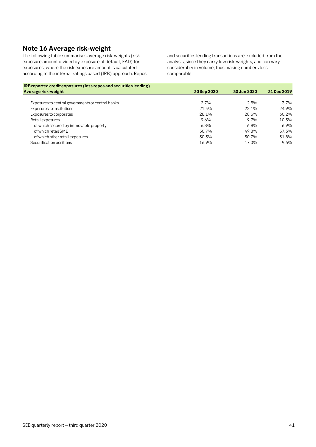# <span id="page-40-0"></span>**Note 16 Average risk-weight**

The following table summarises average risk-weights (risk exposure amount divided by exposure at default, EAD) for exposures, where the risk exposure amount is calculated according to the internal ratings based (IRB) approach. Repos and securities lending transactions are excluded from the analysis, since they carry low risk-weights, and can vary considerably in volume, thus making numbers less comparable.

| IRB reported credit exposures (less repos and securities lending) |             |             |             |
|-------------------------------------------------------------------|-------------|-------------|-------------|
| Average risk-weight                                               | 30 Sep 2020 | 30 Jun 2020 | 31 Dec 2019 |
|                                                                   |             |             |             |
| Exposures to central governments or central banks                 | 2.7%        | 2.5%        | 3.7%        |
| Exposures to institutions                                         | 21.4%       | 22.1%       | 24.9%       |
| Exposures to corporates                                           | 28.1%       | 28.5%       | 30.2%       |
| Retail exposures                                                  | 9.6%        | $9.7\%$     | 10.3%       |
| of which secured by immovable property                            | 6.8%        | 6.8%        | 6.9%        |
| of which retail SME                                               | 50.7%       | 49.8%       | 57.3%       |
| of which other retail exposures                                   | 30.3%       | 30.7%       | 31.8%       |
| Securitisation positions                                          | 16.9%       | 17.0%       | 9.6%        |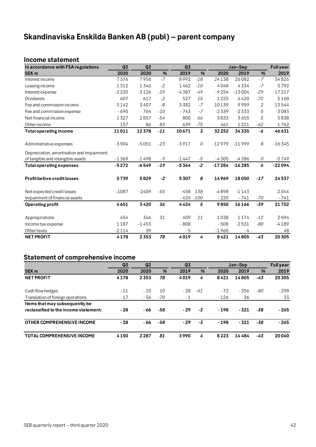# <span id="page-41-0"></span>**Skandinaviska Enskilda Banken AB (publ) – parent company**

# <span id="page-41-1"></span>**Income statement**

| In accordance with FSA regulations        | Q3      | Q <sub>2</sub> |       | Q3           |                |          | Jan-Sep  |                | <b>Full year</b> |
|-------------------------------------------|---------|----------------|-------|--------------|----------------|----------|----------|----------------|------------------|
| <b>SEK m</b>                              | 2020    | 2020           | %     | 2019         | %              | 2020     | 2019     | %              | 2019             |
| Interest income                           | 7376    | 7956           | $-7$  | 8992         | $-18$          | 24138    | 26082    | $-7$           | 34826            |
| Leasing income                            | 1312    | 1346           | $-2$  | 1462         | $-10$          | 4048     | 4334     | $-7$           | 5792             |
| Interest expense                          | $-2220$ | $-3126$        | $-29$ | $-4387$      | $-49$          | $-9254$  | $-13004$ | $-29$          | $-17217$         |
| <b>Dividends</b>                          | 607     | 617            | $-2$  | 527          | 15             | 1225     | 4420     | $-72$          | 5168             |
| Fee and commission income                 | 3142    | 3407           | -8    | 3382         | $-7$           | 10139    | 9959     | $\overline{2}$ | 13544            |
| Fee and commission expense                | $-690$  | $-764$         | $-10$ | $-743$       | $-7$           | $-2339$  | $-2333$  | 0              | $-3083$          |
| Net financial income                      | 1327    | 2857           | $-54$ | 800          | 66             | 3833     | 3655     | 5              | 5838             |
| Other income                              | 157     | 86             | 83    | 639          | $-75$          | 461      | 1221     | -62            | 1762             |
| <b>Total operating income</b>             | 11011   | 12378          | $-11$ | 10671        | $\overline{3}$ | 32252    | 34335    | -6             | 46631            |
|                                           |         |                |       |              |                |          |          |                |                  |
| Administrative expenses                   | $-3904$ | $-5051$        | $-23$ | $-3917$      | 0              | $-12979$ | $-11999$ | 8              | $-16345$         |
| Depreciation, amortisation and impairment |         |                |       |              |                |          |          |                |                  |
| of tangible and intangible assets         | $-1369$ | $-1498$        | $-9$  | $-1447$      | $-5$           | $-4305$  | $-4286$  | 0              | $-5749$          |
| <b>Total operating expenses</b>           | $-5272$ | $-6549$        | $-19$ | $-5364$      | $-2$           | $-17284$ | $-16285$ | 6              | $-22094$         |
| <b>Profit before credit losses</b>        | 5739    | 5829           | $-2$  | 5307         | 8              | 14969    | 18050    | $-17$          | 24537            |
| Net expected credit losses                | $-1087$ | $-2409$        | $-55$ | $-458$       | 138            | $-4898$  | $-1143$  |                | $-2044$          |
| Impairment of financial assets            |         |                |       | $-426 - 100$ |                | $-220$   | $-741$   | $-70$          | $-741$           |
| <b>Operating profit</b>                   | 4651    | 3420           | 36    | 4424         | 5              | 9850     | 16166    | $-39$          | 21752            |
|                                           |         |                |       |              |                |          |          |                |                  |
| Appropriations                            | 454     | 346            | 31    | 409          | 11             | 1038     | 1174     | $-12$          | 2694             |
| Income tax expense                        | 1187    | $-1453$        |       | $-808$       |                | $-508$   | $-2531$  | $-80$          | $-4189$          |
| Other taxes                               | $-2114$ | 39             |       | $-5$         |                | $-1960$  | - 4      |                | 48               |
| <b>NET PROFIT</b>                         | 4178    | 2353           | 78    | 4019         | 4              | 8421     | 14805    | $-43$          | 20305            |

# <span id="page-41-2"></span>**Statement of comprehensive income**

|                                       | Q <sub>3</sub> | Q <sub>2</sub> |     | Q <sub>3</sub> |      |        | Jan-Sep |     | <b>Full year</b> |
|---------------------------------------|----------------|----------------|-----|----------------|------|--------|---------|-----|------------------|
| SEK <sub>m</sub>                      | 2020           | 2020           | %   | 2019           | %    | 2020   | 2019    | %   | 2019             |
| <b>NET PROFIT</b>                     | 4178           | 2353           | 78  | 4019           | 4    | 8421   | 14805   | -43 | 20305            |
| Cash flow hedges                      | $-11$          | $-10$          | 10  | $-28$          | -61  | $-72$  | $-356$  | -80 | $-298$           |
| Translation of foreign operations     | $-17$          | - 56           | -70 | $-1$           |      | $-126$ | 36      |     | 33               |
| Items that may subsequently be        |                |                |     |                |      |        |         |     |                  |
| reclassified to the income statement: | $-28$          | - 66           | -58 | $-29$          | -3   | $-198$ | $-321$  | -38 | - 265            |
| OTHER COMPREHENSIVE INCOME            | - 28           | - 66           | -58 | $-29$          | $-3$ | $-198$ | $-321$  | -38 | $-265$           |
| <b>TOTAL COMPREHENSIVE INCOME</b>     | 4150           | 2287           | 81  | 3990           | 4    | 8223   | 14484   | -43 | 20040            |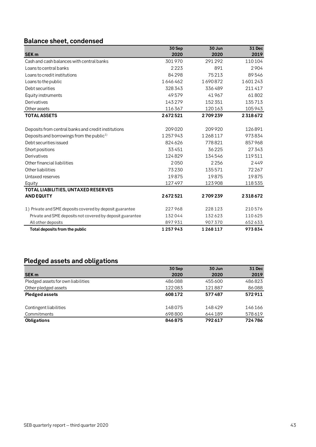# <span id="page-42-0"></span>**Balance sheet, condensed**

|                                                           | 30 Sep  | 30 Jun  | <b>31 Dec</b> |
|-----------------------------------------------------------|---------|---------|---------------|
| <b>SEK m</b>                                              | 2020    | 2020    | 2019          |
| Cash and cash balances with central banks                 | 301970  | 291292  | 110104        |
| Loans to central banks                                    | 2223    | 891     | 2904          |
| Loans to credit institutions                              | 84298   | 75213   | 89546         |
| Loans to the public                                       | 1646462 | 1690872 | 1601243       |
| Debt securities                                           | 328343  | 336489  | 211417        |
| Equity instruments                                        | 49579   | 41967   | 61802         |
| Derivatives                                               | 143279  | 152 351 | 135713        |
| Other assets                                              | 116367  | 120163  | 105943        |
| <b>TOTAL ASSETS</b>                                       | 2672521 | 2709239 | 2318672       |
|                                                           |         |         |               |
| Deposits from central banks and credit institutions       | 209020  | 209920  | 126891        |
| Deposits and borrowings from the public <sup>1)</sup>     | 1257943 | 1268117 | 973834        |
| Debt securities issued                                    | 824626  | 778821  | 857968        |
| Short positions                                           | 33451   | 36225   | 27343         |
| Derivatives                                               | 124829  | 134546  | 119511        |
| Other financial liabilities                               | 2050    | 2256    | 2449          |
| Other liabilities                                         | 73230   | 135571  | 72267         |
| Untaxed reserves                                          | 19875   | 19875   | 19875         |
| Equity                                                    | 127497  | 123908  | 118535        |
| TOTAL LIABILITIES, UNTAXED RESERVES                       |         |         |               |
| <b>AND EQUITY</b>                                         | 2672521 | 2709239 | 2318672       |
| 1) Private and SME deposits covered by deposit guarantee  | 227968  | 228123  | 210576        |
| Private and SME deposits not covered by deposit guarantee | 132044  | 132623  | 110625        |
| All other deposits                                        | 897931  | 907370  | 652633        |
| Total deposits from the public                            | 1257943 | 1268117 | 973834        |

# <span id="page-42-1"></span>**Pledged assets and obligations**

|                                    | 30 Sep | 30 Jun | <b>31 Dec</b> |
|------------------------------------|--------|--------|---------------|
| <b>SEK m</b>                       | 2020   | 2020   | 2019          |
| Pledged assets for own liabilities | 486088 | 455600 | 486823        |
| Other pledged assets               | 122083 | 121887 | 86088         |
| <b>Pledged assets</b>              | 608172 | 577487 | 572911        |
| Contingent liabilities             | 148075 | 148429 | 146166        |
| Commitments                        | 698800 | 644189 | 578619        |
| <b>Obligations</b>                 | 846875 | 792617 | 724786        |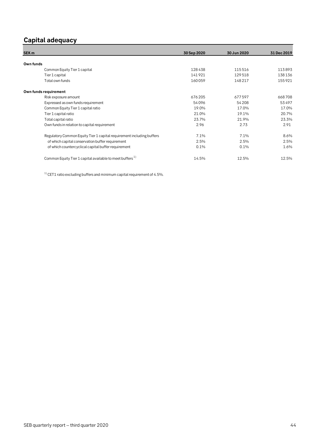# <span id="page-43-0"></span>**Capital adequacy**

| SEK <sub>m</sub>                                                      | 30 Sep 2020 | 30 Jun 2020 | 31 Dec 2019 |
|-----------------------------------------------------------------------|-------------|-------------|-------------|
|                                                                       |             |             |             |
| Own funds                                                             |             |             |             |
| Common Equity Tier 1 capital                                          | 128438      | 115516      | 113893      |
| Tier 1 capital                                                        | 141921      | 129518      | 138136      |
| Total own funds                                                       | 160059      | 148217      | 155921      |
| Own funds requirement                                                 |             |             |             |
| Risk exposure amount                                                  | 676205      | 677597      | 668708      |
| Expressed as own funds requirement                                    | 54096       | 54208       | 53497       |
| Common Equity Tier 1 capital ratio                                    | 19.0%       | 17.0%       | 17.0%       |
| Tier 1 capital ratio                                                  | 21.0%       | 19.1%       | 20.7%       |
| Total capital ratio                                                   | 23.7%       | 21.9%       | 23.3%       |
| Own funds in relation to capital requirement                          | 2.96        | 2.73        | 2.91        |
| Regulatory Common Equity Tier 1 capital requirement including buffers | 7.1%        | 7.1%        | 8.6%        |
| of which capital conservation buffer requirement                      | 2.5%        | 2.5%        | 2.5%        |
| of which countercyclical capital buffer requirement                   | 0.1%        | 0.1%        | 1.6%        |
| Common Equity Tier 1 capital available to meet buffers <sup>1)</sup>  | 14.5%       | 12.5%       | 12.5%       |

 $^{\rm 1)}$  CET1 ratio excluding buffers and minimum capital requirement of 4.5%.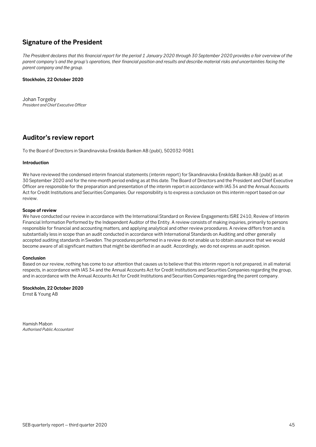# <span id="page-44-0"></span>**Signature of the President**

*The President declares that this financial report for the period 1 January 2020 through 30 September 2020 provides a fair overview of the parent company's and the group's operations, their financial position and results and describe material risks and uncertainties facing the parent company and the group.*

#### **Stockholm, 22 October 2020**

Johan Torgeby *President and Chief Executive Officer*

# <span id="page-44-1"></span>**Auditor's review report**

To the Board of Directors in Skandinaviska Enskilda Banken AB (publ), 502032-9081

#### **Introduction**

We have reviewed the condensed interim financial statements (interim report) for Skandinaviska Enskilda Banken AB (publ) as at 30 September 2020 and for the nine-month period ending as at this date. The Board of Directors and the President and Chief Executive Officer are responsible for the preparation and presentation of the interim report in accordance with IAS 34 and the Annual Accounts Act for Credit Institutions and Securities Companies. Our responsibility is to express a conclusion on this interim report based on our review.

#### **Scope of review**

We have conducted our review in accordance with the International Standard on Review Engagements ISRE 2410, Review of Interim Financial Information Performed by the Independent Auditor of the Entity. A review consists of making inquiries, primarily to persons responsible for financial and accounting matters, and applying analytical and other review procedures. A review differs from and is substantially less in scope than an audit conducted in accordance with International Standards on Auditing and other generally accepted auditing standards in Sweden. The procedures performed in a review do not enable us to obtain assurance that we would become aware of all significant matters that might be identified in an audit. Accordingly, we do not express an audit opinion.

#### **Conclusion**

Based on our review, nothing has come to our attention that causes us to believe that this interim report is not prepared, in all material respects, in accordance with IAS 34 and the Annual Accounts Act for Credit Institutions and Securities Companies regarding the group, and in accordance with the Annual Accounts Act for Credit Institutions and Securities Companies regarding the parent company.

#### **Stockholm, 22 October 2020**

Ernst & Young AB

Hamish Mabon *Authorised Public Accountant*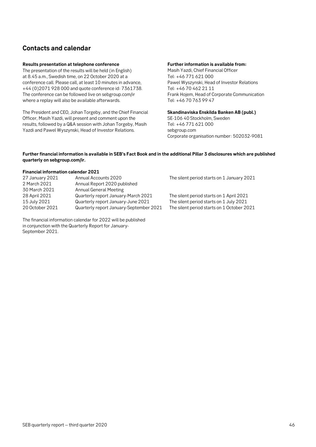# <span id="page-45-0"></span>**Contacts and calendar**

#### **Results presentation at telephone conference**

The presentation of the results will be held (in English) at 8.45 a.m., Swedish time, on 22 October 2020 at a conference call. Please call, at least 10 minutes in advance, +44 (0)2071 928 000 and quote conference id: 7361738. The conference can be followed live on sebgroup.com/ir where a replay will also be available afterwards.

The President and CEO, Johan Torgeby, and the Chief Financial Officer, Masih Yazdi, will present and comment upon the results, followed by a Q&A session with Johan Torgeby, Masih Yazdi and Pawel Wyszynski, Head of Investor Relations.

#### **Further information is available from:**

Masih Yazdi, Chief Financial Officer Tel: +46 771 621 000 Pawel Wyszynski, Head of Investor Relations Tel: +46 70 462 21 11 Frank Hojem, Head of Corporate Communication Tel: +46 70 763 99 47

**Skandinaviska Enskilda Banken AB (publ.)** SE-106 40 Stockholm, Sweden Tel: +46 771 621 000 sebgroup.com Corporate organisation number: 502032-9081

#### **Further financial information is available in SEB's Fact Book and in the additional Pillar 3 disclosures which are published quarterly on sebgroup.com/ir.**

#### **Financial information calendar 2021**

| 27 January 2021<br>2 March 2021<br>30 March 2021 | Annual Accounts 2020<br>Annual Report 2020 published<br>Annual General Meeting | The silent period starts on 1 January 2021                                          |
|--------------------------------------------------|--------------------------------------------------------------------------------|-------------------------------------------------------------------------------------|
| 28 April 2021<br>15 July 2021                    | Quarterly report January-March 2021<br>Quarterly report January-June 2021      | The silent period starts on 1 April 2021<br>The silent period starts on 1 July 2021 |
| 20 October 2021                                  | Quarterly report January-September 2021                                        | The silent period starts on 1 October 2021                                          |

The financial information calendar for 2022 will be published in conjunction with the Quarterly Report for January-September 2021.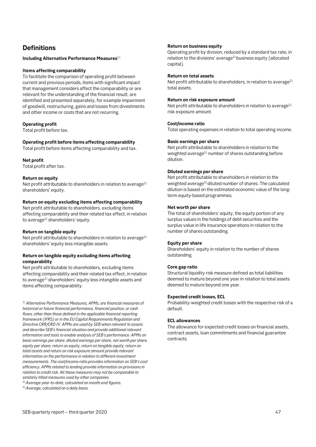# <span id="page-46-0"></span>**Definitions**

**Including Alternative Performance Measures**1)

#### **Items affecting comparability**

To facilitate the comparison of operating profit between current and previous periods, items with significant impact that management considers affect the comparability or are relevant for the understanding of the financial result, are identified and presented separately, for example impairment of goodwill, restructuring, gains and losses from divestments and other income or costs that are not recurring.

#### **Operating profit**

Total profit before tax.

#### **Operating profit before items affecting comparability**

Total profit before items affecting comparability and tax.

#### **Net profit**

Total profit after tax.

#### **Return on equity**

Net profit attributable to shareholders in relation to average<sup>2)</sup> shareholders' equity.

#### **Return on equity excluding items affecting comparability**

Net profit attributable to shareholders, excluding items affecting comparability and their related tax effect, in relation to average<sup>2)</sup> shareholders' equity.

#### **Return on tangible equity**

Net profit attributable to shareholders in relation to average<sup>2)</sup> shareholders' equity less intangible assets.

#### **Return on tangible equity excluding items affecting comparability**

Net profit attributable to shareholders, excluding items affecting comparability and their related tax effect, in relation to average<sup>2)</sup> shareholders' equity less intangible assets and items affecting comparability.

1) *Alternative Performance Measures, APMs, are financial measures of historical or future financial performance, financial position, or cash flows, other than those defined in the applicable financial reporting framework (IFRS) or in the EU Capital Requirements Regulation and Directive CRR/CRD IV. APMs are used by SEB when relevant to assess and describe SEB's financial situation and provide additional relevant information and tools to enable analysis of SEB's performance. APMs on basic earnings per share, diluted earnings per share, net worth per share, equity per share, return on equity, return on tangible equity, return on total assets and return on risk exposure amount provide relevant information on the performance in relation to different investment measurements. The cost/income ratio provides information on SEB's cost efficiency. APMs related to lending provide information on provisions in relation to credit risk. All these measures may not be comparable to similarly titled measures used by other companies.* 

2)*Average year-to-date, calculated on month-end figures.*

3)*Average, calculated on a daily basis.*

#### **Return on business equity**

Operating profit by division, reduced by a standard tax rate, in relation to the divisions' average<sup>2)</sup> business equity (allocated capital).

#### **Return on total assets**

Net profit attributable to shareholders, in relation to average<sup>2)</sup> total assets.

#### **Return on risk exposure amount**

Net profit attributable to shareholders in relation to average<sup>2)</sup> risk exposure amount.

#### **Cost/income ratio**

Total operating expenses in relation to total operating income.

#### **Basic earnings per share**

Net profit attributable to shareholders in relation to the weighted average<sup>3)</sup> number of shares outstanding before dilution.

#### **Diluted earnings per share**

Net profit attributable to shareholders in relation to the weighted average<sup>3)</sup> diluted number of shares. The calculated dilution is based on the estimated economic value of the longterm equity-based programmes.

#### **Net worth per share**

The total of shareholders' equity, the equity portion of any surplus values in the holdings of debt securities and the surplus value in life insurance operations in relation to the number of shares outstanding.

#### **Equity per share**

Shareholders' equity in relation to the number of shares outstanding.

#### **Core gap ratio**

Structural liquidity risk measure defined as total liabilities deemed to mature beyond one year in relation to total assets deemed to mature beyond one year.

#### **Expected credit losses, ECL**

Probability-weighted credit losses with the respective risk of a default.

#### **ECL allowances**

The allowance for expected credit losses on financial assets, contract assets, loan commitments and financial guarantee contracts.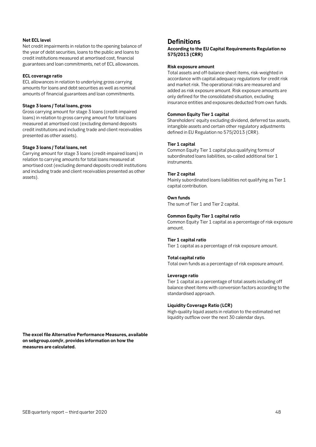#### **Net ECL level**

Net credit impairments in relation to the opening balance of the year of debt securities, loans to the public and loans to credit institutions measured at amortised cost, financial guarantees and loan commitments, net of ECL allowances.

#### **ECL coverage ratio**

ECL allowances in relation to underlying gross carrying amounts for loans and debt securities as well as nominal amounts of financial guarantees and loan commitments.

#### **Stage 3 loans / Total loans, gross**

Gross carrying amount for stage 3 loans (credit-impaired loans) in relation to gross carrying amount for total loans measured at amortised cost (excluding demand deposits credit institutions and including trade and client receivables presented as other assets).

#### **Stage 3 loans / Total loans, net**

Carrying amount for stage 3 loans (credit-impaired loans) in relation to carrying amounts for total loans measured at amortised cost (excluding demand deposits credit institutions and including trade and client receivables presented as other assets).

**The excel file Alternative Performance Measures, available on sebgroup.com/ir, provides information on how the measures are calculated.**

### **Definitions**

**According to the EU Capital Requirements Regulation no 575/2013 (CRR)**

#### **Risk exposure amount**

Total assets and off-balance sheet items, risk-weighted in accordance with capital adequacy regulations for credit risk and market risk. The operational risks are measured and added as risk exposure amount. Risk exposure amounts are only defined for the consolidated situation, excluding insurance entities and exposures deducted from own funds.

#### **Common Equity Tier 1 capital**

Shareholders' equity excluding dividend, deferred tax assets, intangible assets and certain other regulatory adjustments defined in EU Regulation no 575/2013 (CRR).

#### **Tier 1 capital**

Common Equity Tier 1 capital plus qualifying forms of subordinated loans liabilities, so-called additional tier 1 instruments.

#### **Tier 2 capital**

Mainly subordinated loans liabilities not qualifying as Tier 1 capital contribution.

#### **Own funds**

The sum of Tier 1 and Tier 2 capital.

#### **Common Equity Tier 1 capital ratio**

Common Equity Tier 1 capital as a percentage of risk exposure amount.

#### **Tier 1 capital ratio**

Tier 1 capital as a percentage of risk exposure amount.

#### **Total capital ratio**

Total own funds as a percentage of risk exposure amount.

#### **Leverage ratio**

Tier 1 capital as a percentage of total assets including off balance sheet items with conversion factors according to the standardised approach.

#### **Liquidity Coverage Ratio (LCR)**

High-quality liquid assets in relation to the estimated net liquidity outflow over the next 30 calendar days.